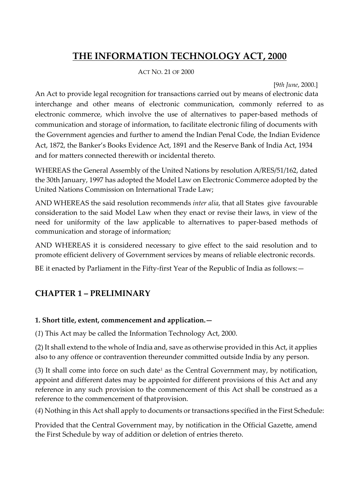# **THE INFORMATION TECHNOLOGY ACT, 2000**

ACT NO. 21 OF 2000

[9*th June*, 2000.]

An Act to provide legal recognition for transactions carried out by means of electronic data interchange and other means of electronic communication, commonly referred to as electronic commerce, which involve the use of alternatives to paper-based methods of communication and storage of information, to facilitate electronic filing of documents with the Government agencies and further to amend the Indian Penal Code, the Indian Evidence Act, 1872, the Banker's Books Evidence Act, 1891 and the Reserve Bank of India Act, 1934 and for matters connected therewith or incidental thereto.

WHEREAS the General Assembly of the United Nations by resolution A/RES/51/162, dated the 30th January, 1997 has adopted the Model Law on Electronic Commerce adopted by the United Nations Commission on International Trade Law;

AND WHEREAS the said resolution recommends *inter alia*, that all States give favourable consideration to the said Model Law when they enact or revise their laws, in view of the need for uniformity of the law applicable to alternatives to paper-based methods of communication and storage of information;

AND WHEREAS it is considered necessary to give effect to the said resolution and to promote efficient delivery of Government services by means of reliable electronic records.

BE it enacted by Parliament in the Fifty-first Year of the Republic of India as follows: -

# **CHAPTER 1 – PRELIMINARY**

### **1. Short title, extent, commencement and application.—**

(*1*) This Act may be called the Information Technology Act, 2000.

(2) It shall extend to the whole of India and, save as otherwise provided in this Act, it applies also to any offence or contravention thereunder committed outside India by any person.

(3) It shall come into force on such date<sup>1</sup> as the Central Government may, by notification, appoint and different dates may be appointed for different provisions of this Act and any reference in any such provision to the commencement of this Act shall be construed as a reference to the commencement of thatprovision.

(4) Nothing in this Act shall apply to documents or transactions specified in the First Schedule:

Provided that the Central Government may, by notification in the Official Gazette, amend the First Schedule by way of addition or deletion of entries thereto.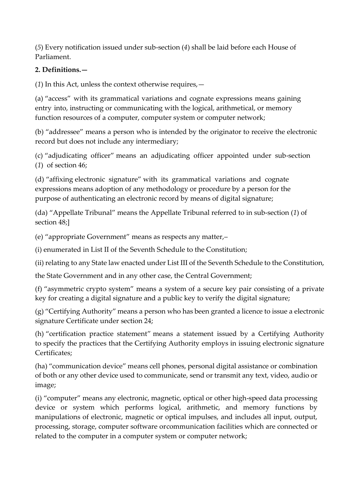(*5*) Every notification issued under sub-section (*4*) shall be laid before each House of Parliament.

### **2. Definitions.—**

(*1*) In this Act, unless the context otherwise requires,—

(a) "access" with its grammatical variations and cognate expressions means gaining entry into, instructing or communicating with the logical, arithmetical, or memory function resources of a computer, computer system or computer network;

(b) "addressee" means a person who is intended by the originator to receive the electronic record but does not include any intermediary;

(c) "adjudicating officer" means an adjudicating officer appointed under sub-section (*1*) of section 46;

(d) "affixing electronic signature" with its grammatical variations and cognate expressions means adoption of any methodology or procedure by a person for the purpose of authenticating an electronic record by means of digital signature;

(da) "Appellate Tribunal" means the Appellate Tribunal referred to in sub-section (*1*) of section 48;]

(e) "appropriate Government" means as respects any matter,–

(i) enumerated in List II of the Seventh Schedule to the Constitution;

(ii) relating to any State law enacted under List III of the Seventh Schedule to the Constitution,

the State Government and in any other case, the Central Government;

(f) "asymmetric crypto system" means a system of a secure key pair consisting of a private key for creating a digital signature and a public key to verify the digital signature;

(g) "Certifying Authority" means a person who has been granted a licence to issue a electronic signature Certificate under section 24;

(h) "certification practice statement" means a statement issued by a Certifying Authority to specify the practices that the Certifying Authority employs in issuing electronic signature Certificates;

(ha) "communication device" means cell phones, personal digital assistance or combination of both or any other device used to communicate, send or transmit any text, video, audio or image;

(i) "computer" means any electronic, magnetic, optical or other high-speed data processing device or system which performs logical, arithmetic, and memory functions by manipulations of electronic, magnetic or optical impulses, and includes all input, output, processing, storage, computer software orcommunication facilities which are connected or related to the computer in a computer system or computer network;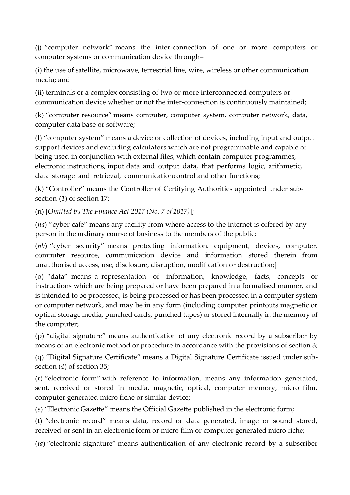(j) "computer network" means the inter-connection of one or more computers or computer systems or communication device through–

(i) the use of satellite, microwave, terrestrial line, wire, wireless or other communication media; and

(ii) terminals or a complex consisting of two or more interconnected computers or communication device whether or not the inter-connection is continuously maintained;

(k) "computer resource" means computer, computer system, computer network, data, computer data base or software;

(l) "computer system" means a device or collection of devices, including input and output support devices and excluding calculators which are not programmable and capable of being used in conjunction with external files, which contain computer programmes, electronic instructions, input data and output data, that performs logic, arithmetic, data storage and retrieval, communicationcontrol and other functions;

(k) "Controller" means the Controller of Certifying Authorities appointed under subsection (*1*) of section 17;

(n) [*Omitted by The Finance Act 2017 (No. 7 of 2017)*];

(*na*) "cyber cafe" means any facility from where access to the internet is offered by any person in the ordinary course of business to the members of the public;

(*nb*) "cyber security" means protecting information, equipment, devices, computer, computer resource, communication device and information stored therein from unauthorised access, use, disclosure, disruption, modification or destruction;]

(o) "data" means a representation of information, knowledge, facts, concepts or instructions which are being prepared or have been prepared in a formalised manner, and is intended to be processed, is being processed or has been processed in a computer system or computer network, and may be in any form (including computer printouts magnetic or optical storage media, punched cards, punched tapes) or stored internally in the memory of the computer;

(p) "digital signature" means authentication of any electronic record by a subscriber by means of an electronic method or procedure in accordance with the provisions of section 3;

(q) "Digital Signature Certificate" means a Digital Signature Certificate issued under subsection (*4*) of section 35;

(r) "electronic form" with reference to information, means any information generated, sent, received or stored in media, magnetic, optical, computer memory, micro film, computer generated micro fiche or similar device;

(s) "Electronic Gazette" means the Official Gazette published in the electronic form;

(t) "electronic record" means data, record or data generated, image or sound stored, received or sent in an electronic form or micro film or computer generated micro fiche;

(*ta*) "electronic signature" means authentication of any electronic record by a subscriber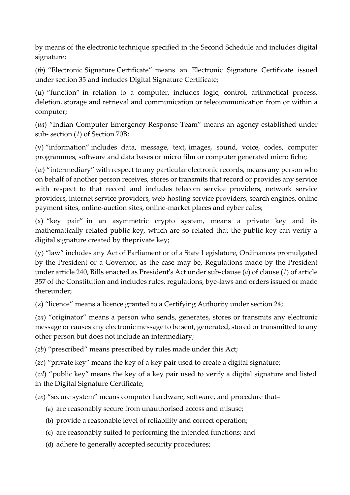by means of the electronic technique specified in the Second Schedule and includes digital signature;

(*tb*) "Electronic Signature Certificate" means an Electronic Signature Certificate issued under section 35 and includes Digital Signature Certificate;

(u) "function" in relation to a computer, includes logic, control, arithmetical process, deletion, storage and retrieval and communication or telecommunication from or within a computer;

(*ua*) "Indian Computer Emergency Response Team" means an agency established under sub- section (*1*) of Section 70B;

(v) "information" includes data, message, text, images, sound, voice, codes, computer programmes, software and data bases or micro film or computer generated micro fiche;

(*w*) "intermediary" with respect to any particular electronic records, means any person who on behalf of another person receives, stores or transmits that record or provides any service with respect to that record and includes telecom service providers, network service providers, internet service providers, web-hosting service providers, search engines, online payment sites, online-auction sites, online-market places and cyber cafes;

(x) "key pair" in an asymmetric crypto system, means a private key and its mathematically related public key, which are so related that the public key can verify a digital signature created by theprivate key;

(y) "law" includes any Act of Parliament or of a State Legislature, Ordinances promulgated by the President or a Governor, as the case may be, Regulations made by the President under article 240, Bills enacted as President's Act under sub-clause (*a*) of clause (*1*) of article 357 of the Constitution and includes rules, regulations, bye-laws and orders issued or made thereunder;

(z) "licence" means a licence granted to a Certifying Authority under section 24;

(*za*) "originator" means a person who sends, generates, stores or transmits any electronic message or causes any electronic message to be sent, generated, stored or transmitted to any other person but does not include an intermediary;

(*zb*) "prescribed" means prescribed by rules made under this Act;

(*zc*) "private key" means the key of a key pair used to create a digital signature;

(*zd*) "public key" means the key of a key pair used to verify a digital signature and listed in the Digital Signature Certificate;

(*ze*) "secure system" means computer hardware, software, and procedure that–

- (a) are reasonably secure from unauthorised access and misuse;
- (b) provide a reasonable level of reliability and correct operation;
- (c) are reasonably suited to performing the intended functions; and
- (d) adhere to generally accepted security procedures;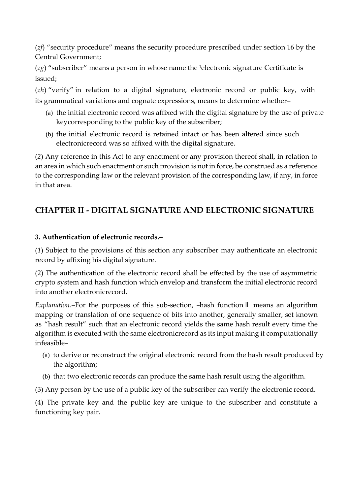(*zf*) "security procedure" means the security procedure prescribed under section 16 by the Central Government;

(*zg*) "subscriber" means a person in whose name the <sup>1</sup>electronic signature Certificate is issued;

(*zh*) "verify" in relation to a digital signature, electronic record or public key, with its grammatical variations and cognate expressions, means to determine whether–

- (a) the initial electronic record was affixed with the digital signature by the use of private keycorresponding to the public key of the subscriber;
- (b) the initial electronic record is retained intact or has been altered since such electronicrecord was so affixed with the digital signature.

(*2*) Any reference in this Act to any enactment or any provision thereof shall, in relation to an area in which such enactment or such provision is not in force, be construed as a reference to the corresponding law or the relevant provision of the corresponding law, if any, in force in that area.

# **CHAPTER II - DIGITAL SIGNATURE AND ELECTRONIC SIGNATURE**

### **3. Authentication of electronic records.–**

(*1*) Subject to the provisions of this section any subscriber may authenticate an electronic record by affixing his digital signature.

(2) The authentication of the electronic record shall be effected by the use of asymmetric crypto system and hash function which envelop and transform the initial electronic record into another electronicrecord.

*Explanation*.–For the purposes of this sub-section, -hash function  $\parallel$  means an algorithm mapping or translation of one sequence of bits into another, generally smaller, set known as "hash result" such that an electronic record yields the same hash result every time the algorithm is executed with the same electronicrecord as its input making it computationally infeasible–

- (a) to derive or reconstruct the original electronic record from the hash result produced by the algorithm;
- (b) that two electronic records can produce the same hash result using the algorithm.

(3) Any person by the use of a public key of the subscriber can verify the electronic record.

(4) The private key and the public key are unique to the subscriber and constitute a functioning key pair.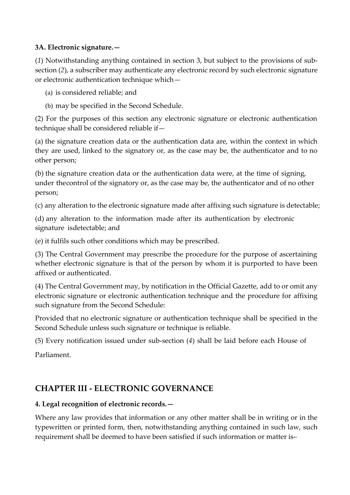### **3A. Electronic signature.—**

(*1*) Notwithstanding anything contained in section 3, but subject to the provisions of subsection (*2*), a subscriber may authenticate any electronic record by such electronic signature or electronic authentication technique which—

- (a) is considered reliable; and
- (b) may be specified in the Second Schedule.

(2) For the purposes of this section any electronic signature or electronic authentication technique shall be considered reliable if—

(a) the signature creation data or the authentication data are, within the context in which they are used, linked to the signatory or, as the case may be, the authenticator and to no other person;

(b) the signature creation data or the authentication data were, at the time of signing, under thecontrol of the signatory or, as the case may be, the authenticator and of no other person;

(c) any alteration to the electronic signature made after affixing such signature is detectable;

(d) any alteration to the information made after its authentication by electronic signature isdetectable; and

(e) it fulfils such other conditions which may be prescribed.

(3) The Central Government may prescribe the procedure for the purpose of ascertaining whether electronic signature is that of the person by whom it is purported to have been affixed or authenticated.

(4) The Central Government may, by notification in the Official Gazette, add to or omit any electronic signature or electronic authentication technique and the procedure for affixing such signature from the Second Schedule:

Provided that no electronic signature or authentication technique shall be specified in the Second Schedule unless such signature or technique is reliable.

(5) Every notification issued under sub-section (*4*) shall be laid before each House of

Parliament.

# **CHAPTER III - ELECTRONIC GOVERNANCE**

### **4. Legal recognition of electronic records.—**

Where any law provides that information or any other matter shall be in writing or in the typewritten or printed form, then, notwithstanding anything contained in such law, such requirement shall be deemed to have been satisfied if such information or matter is–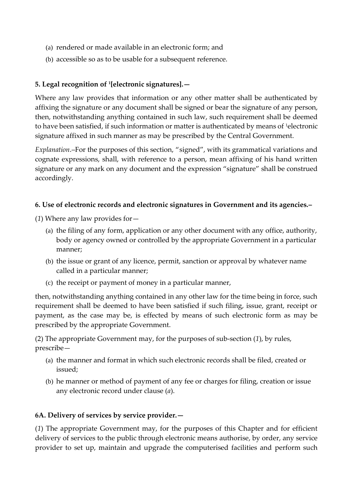- (a) rendered or made available in an electronic form; and
- (b) accessible so as to be usable for a subsequent reference.

## **5. Legal recognition of <sup>1</sup> [electronic signatures].—**

Where any law provides that information or any other matter shall be authenticated by affixing the signature or any document shall be signed or bear the signature of any person, then, notwithstanding anything contained in such law, such requirement shall be deemed to have been satisfied, if such information or matter is authenticated by means of 1electronic signature affixed in such manner as may be prescribed by the Central Government.

*Explanation*.–For the purposes of this section, "signed", with its grammatical variations and cognate expressions, shall, with reference to a person, mean affixing of his hand written signature or any mark on any document and the expression "signature" shall be construed accordingly.

### **6. Use of electronic records and electronic signatures in Government and its agencies.–**

(*1*) Where any law provides for—

- (a) the filing of any form, application or any other document with any office, authority, body or agency owned or controlled by the appropriate Government in a particular manner;
- (b) the issue or grant of any licence, permit, sanction or approval by whatever name called in a particular manner;
- (c) the receipt or payment of money in a particular manner,

then, notwithstanding anything contained in any other law for the time being in force, such requirement shall be deemed to have been satisfied if such filing, issue, grant, receipt or payment, as the case may be, is effected by means of such electronic form as may be prescribed by the appropriate Government.

(2) The appropriate Government may, for the purposes of sub-section (*1*), by rules, prescribe—

- (a) the manner and format in which such electronic records shall be filed, created or issued;
- (b) he manner or method of payment of any fee or charges for filing, creation or issue any electronic record under clause (*a*).

### **6A. Delivery of services by service provider.—**

(*1*) The appropriate Government may, for the purposes of this Chapter and for efficient delivery of services to the public through electronic means authorise, by order, any service provider to set up, maintain and upgrade the computerised facilities and perform such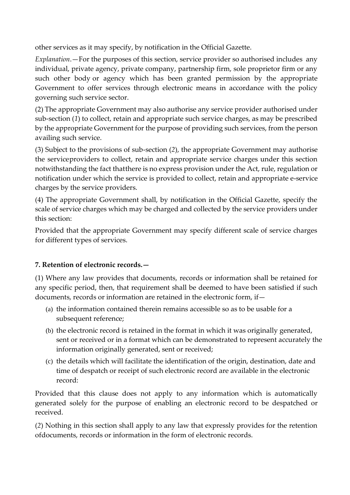other services as it may specify, by notification in the Official Gazette.

*Explanation*.—For the purposes of this section, service provider so authorised includes any individual, private agency, private company, partnership firm, sole proprietor firm or any such other body or agency which has been granted permission by the appropriate Government to offer services through electronic means in accordance with the policy governing such service sector.

(2) The appropriate Government may also authorise any service provider authorised under sub-section (*1*) to collect, retain and appropriate such service charges, as may be prescribed by the appropriate Government for the purpose of providing such services, from the person availing such service.

(3) Subject to the provisions of sub-section (*2*), the appropriate Government may authorise the serviceproviders to collect, retain and appropriate service charges under this section notwithstanding the fact thatthere is no express provision under the Act, rule, regulation or notification under which the service is provided to collect, retain and appropriate e-service charges by the service providers.

(4) The appropriate Government shall, by notification in the Official Gazette, specify the scale of service charges which may be charged and collected by the service providers under this section:

Provided that the appropriate Government may specify different scale of service charges for different types of services.

### **7. Retention of electronic records.—**

(1) Where any law provides that documents, records or information shall be retained for any specific period, then, that requirement shall be deemed to have been satisfied if such documents, records or information are retained in the electronic form, if—

- (a) the information contained therein remains accessible so as to be usable for a subsequent reference;
- (b) the electronic record is retained in the format in which it was originally generated, sent or received or in a format which can be demonstrated to represent accurately the information originally generated, sent or received;
- (c) the details which will facilitate the identification of the origin, destination, date and time of despatch or receipt of such electronic record are available in the electronic record:

Provided that this clause does not apply to any information which is automatically generated solely for the purpose of enabling an electronic record to be despatched or received.

(*2*) Nothing in this section shall apply to any law that expressly provides for the retention ofdocuments, records or information in the form of electronic records.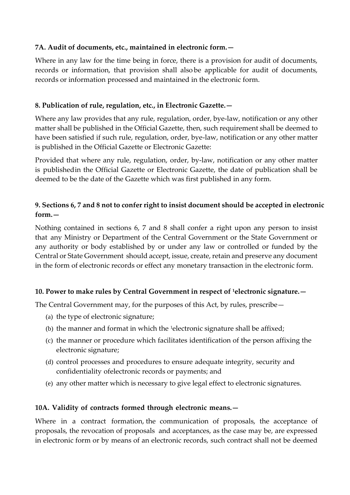### **7A. Audit of documents, etc., maintained in electronic form.—**

Where in any law for the time being in force, there is a provision for audit of documents, records or information, that provision shall also be applicable for audit of documents, records or information processed and maintained in the electronic form.

### **8. Publication of rule, regulation, etc., in Electronic Gazette.—**

Where any law provides that any rule, regulation, order, bye-law, notification or any other matter shall be published in the Official Gazette, then, such requirement shall be deemed to have been satisfied if such rule, regulation, order, bye-law, notification or any other matter is published in the Official Gazette or Electronic Gazette:

Provided that where any rule, regulation, order, by-law, notification or any other matter is publishedin the Official Gazette or Electronic Gazette, the date of publication shall be deemed to be the date of the Gazette which was first published in any form.

### **9. Sections 6, 7 and 8 not to confer right to insist document should be accepted in electronic form.—**

Nothing contained in sections 6, 7 and 8 shall confer a right upon any person to insist that any Ministry or Department of the Central Government or the State Government or any authority or body established by or under any law or controlled or funded by the Central or State Government should accept, issue, create, retain and preserve any document in the form of electronic records or effect any monetary transaction in the electronic form.

### **10. Power to make rules by Central Government in respect of 1electronic signature.—**

The Central Government may, for the purposes of this Act, by rules, prescribe—

- (a) the type of electronic signature;
- (b) the manner and format in which the <sup>1</sup>electronic signature shall be affixed;
- (c) the manner or procedure which facilitates identification of the person affixing the electronic signature;
- (d) control processes and procedures to ensure adequate integrity, security and confidentiality ofelectronic records or payments; and
- (e) any other matter which is necessary to give legal effect to electronic signatures.

### **10A. Validity of contracts formed through electronic means.—**

Where in a contract formation, the communication of proposals, the acceptance of proposals, the revocation of proposals and acceptances, as the case may be, are expressed in electronic form or by means of an electronic records, such contract shall not be deemed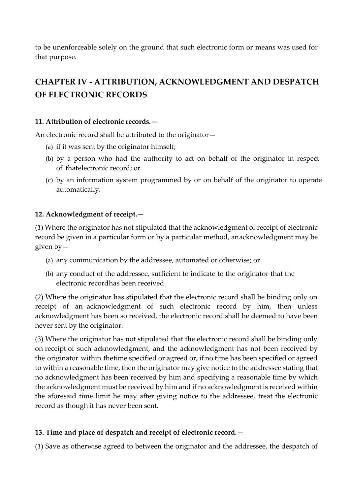to be unenforceable solely on the ground that such electronic form or means was used for that purpose.

# **CHAPTER IV - ATTRIBUTION, ACKNOWLEDGMENT AND DESPATCH OF ELECTRONIC RECORDS**

### **11. Attribution of electronic records.—**

An electronic record shall be attributed to the originator—

- (a) if it was sent by the originator himself;
- (b) by a person who had the authority to act on behalf of the originator in respect of thatelectronic record; or
- (c) by an information system programmed by or on behalf of the originator to operate automatically.

### **12. Acknowledgment of receipt.—**

(*1*) Where the originator has not stipulated that the acknowledgment of receipt of electronic record be given in a particular form or by a particular method, anacknowledgment may be given by  $-$ 

- (a) any communication by the addressee, automated or otherwise; or
- (b) any conduct of the addressee, sufficient to indicate to the originator that the electronic recordhas been received.

(2) Where the originator has stipulated that the electronic record shall be binding only on receipt of an acknowledgment of such electronic record by him, then unless acknowledgment has been so received, the electronic record shall he deemed to have been never sent by the originator.

(3) Where the originator has not stipulated that the electronic record shall be binding only on receipt of such acknowledgment, and the acknowledgment has not been received by the originator within thetime specified or agreed or, if no time has been specified or agreed to within a reasonable time, then the originator may give notice to the addressee stating that no acknowledgment has been received by him and specifying a reasonable time by which the acknowledgment must be received by him and if no acknowledgment is received within the aforesaid time limit he may after giving notice to the addressee, treat the electronic record as though it has never been sent.

### **13. Time and place of despatch and receipt of electronic record.—**

(*1*) Save as otherwise agreed to between the originator and the addressee, the despatch of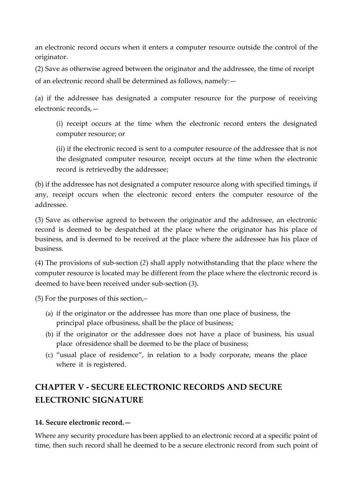an electronic record occurs when it enters a computer resource outside the control of the originator.

(2) Save as otherwise agreed between the originator and the addressee, the time of receipt of an electronic record shall be determined as follows, namely:—

(a) if the addressee has designated a computer resource for the purpose of receiving electronic records,—

(i) receipt occurs at the time when the electronic record enters the designated computer resource; or

(ii) if the electronic record is sent to a computer resource of the addressee that is not the designated computer resource, receipt occurs at the time when the electronic record is retrievedby the addressee;

(b) if the addressee has not designated a computer resource along with specified timings, if any, receipt occurs when the electronic record enters the computer resource of the addressee.

(3) Save as otherwise agreed to between the originator and the addressee, an electronic record is deemed to be despatched at the place where the originator has his place of business, and is deemed to be received at the place where the addressee has his place of business.

(4) The provisions of sub-section (*2*) shall apply notwithstanding that the place where the computer resource is located may be different from the place where the electronic record is deemed to have been received under sub-section (*3*).

(5) For the purposes of this section,–

- (a) if the originator or the addressee has more than one place of business, the principal place ofbusiness, shall be the place of business;
- (b) if the originator or the addressee does not have a place of business, his usual place ofresidence shall be deemed to be the place of business;
- (c) "usual place of residence", in relation to a body corporate, means the place where it is registered.

# **CHAPTER V - SECURE ELECTRONIC RECORDS AND SECURE ELECTRONIC SIGNATURE**

### **14. Secure electronic record.—**

Where any security procedure has been applied to an electronic record at a specific point of time, then such record shall he deemed to be a secure electronic record from such point of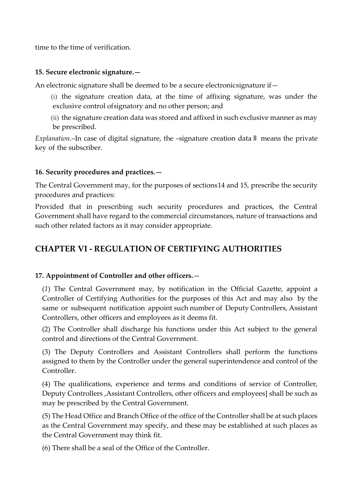time to the time of verification.

### **15. Secure electronic signature.—**

An electronic signature shall be deemed to be a secure electronicsignature if—

- (i) the signature creation data, at the time of affixing signature, was under the exclusive control ofsignatory and no other person; and
- (ii) the signature creation data was stored and affixed in such exclusive manner as may be prescribed.

*Explanation.*–In case of digital signature, the -signature creation data II means the private key of the subscriber.

### **16. Security procedures and practices.—**

The Central Government may, for the purposes of sections14 and 15, prescribe the security procedures and practices:

Provided that in prescribing such security procedures and practices, the Central Government shall have regard to the commercial circumstances, nature of transactions and such other related factors as it may consider appropriate.

# **CHAPTER VI - REGULATION OF CERTIFYING AUTHORITIES**

### **17. Appointment of Controller and other officers.**—

(*1*) The Central Government may, by notification in the Official Gazette, appoint a Controller of Certifying Authorities for the purposes of this Act and may also by the same or subsequent notification appoint such number of Deputy Controllers, Assistant Controllers, other officers and employees as it deems fit.

(2) The Controller shall discharge his functions under this Act subject to the general control and directions of the Central Government.

(3) The Deputy Controllers and Assistant Controllers shall perform the functions assigned to them by the Controller under the general superintendence and control of the Controller.

(4) The qualifications, experience and terms and conditions of service of Controller, Deputy Controllers ,Assistant Controllers, other officers and employees] shall be such as may be prescribed by the Central Government.

(5) The Head Office and Branch Office of the office of the Controller shall be at such places as the Central Government may specify, and these may be established at such places as the Central Government may think fit.

(6) There shall be a seal of the Office of the Controller.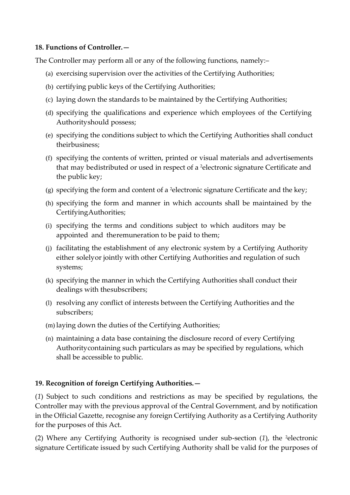### **18. Functions of Controller.—**

The Controller may perform all or any of the following functions, namely:–

- (a) exercising supervision over the activities of the Certifying Authorities;
- (b) certifying public keys of the Certifying Authorities;
- (c) laying down the standards to be maintained by the Certifying Authorities;
- (d) specifying the qualifications and experience which employees of the Certifying Authorityshould possess;
- (e) specifying the conditions subject to which the Certifying Authorities shall conduct theirbusiness;
- (f) specifying the contents of written, printed or visual materials and advertisements that may bedistributed or used in respect of a <sup>2</sup>electronic signature Certificate and the public key;
- (g) specifying the form and content of a <sup>2</sup>electronic signature Certificate and the key;
- (h) specifying the form and manner in which accounts shall be maintained by the CertifyingAuthorities;
- (i) specifying the terms and conditions subject to which auditors may be appointed and theremuneration to be paid to them;
- (j) facilitating the establishment of any electronic system by a Certifying Authority either solelyor jointly with other Certifying Authorities and regulation of such systems;
- (k) specifying the manner in which the Certifying Authorities shall conduct their dealings with thesubscribers;
- (l) resolving any conflict of interests between the Certifying Authorities and the subscribers;
- (m) laying down the duties of the Certifying Authorities;
- (n) maintaining a data base containing the disclosure record of every Certifying Authoritycontaining such particulars as may be specified by regulations, which shall be accessible to public.

### **19. Recognition of foreign Certifying Authorities.—**

(*1*) Subject to such conditions and restrictions as may be specified by regulations, the Controller may with the previous approval of the Central Government, and by notification in the Official Gazette, recognise any foreign Certifying Authority as a Certifying Authority for the purposes of this Act.

(2) Where any Certifying Authority is recognised under sub-section (1), the <sup>2</sup>electronic signature Certificate issued by such Certifying Authority shall be valid for the purposes of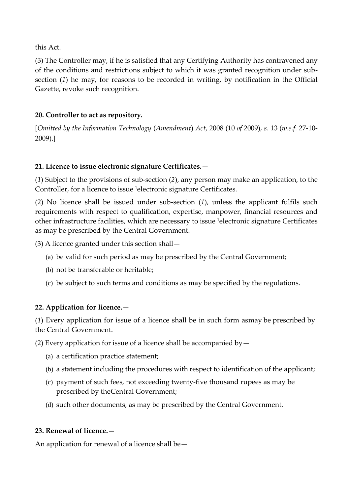this Act.

(3) The Controller may, if he is satisfied that any Certifying Authority has contravened any of the conditions and restrictions subject to which it was granted recognition under subsection (*1*) he may, for reasons to be recorded in writing, by notification in the Official Gazette, revoke such recognition.

### **20. Controller to act as repository***.*

[*Omitted by the Information Technology* (*Amendment*) *Act*, 2008 (10 *of* 2009), *s*. 13 (*w*.*e*.*f*. 27-10- 2009).]

### **21. Licence to issue electronic signature Certificates.—**

(*1*) Subject to the provisions of sub-section (*2*), any person may make an application, to the Controller, for a licence to issue <sup>1</sup>electronic signature Certificates.

(2) No licence shall be issued under sub-section (*1*), unless the applicant fulfils such requirements with respect to qualification, expertise, manpower, financial resources and other infrastructure facilities, which are necessary to issue 1electronic signature Certificates as may be prescribed by the Central Government.

(3) A licence granted under this section shall—

- (a) be valid for such period as may be prescribed by the Central Government;
- (b) not be transferable or heritable;
- (c) be subject to such terms and conditions as may be specified by the regulations.

### **22. Application for licence.—**

(*1*) Every application for issue of a licence shall be in such form asmay be prescribed by the Central Government.

(2) Every application for issue of a licence shall be accompanied by  $-$ 

- (a) a certification practice statement;
- (b) a statement including the procedures with respect to identification of the applicant;
- (c) payment of such fees, not exceeding twenty-five thousand rupees as may be prescribed by theCentral Government;
- (d) such other documents, as may be prescribed by the Central Government.

### **23. Renewal of licence.—**

An application for renewal of a licence shall be—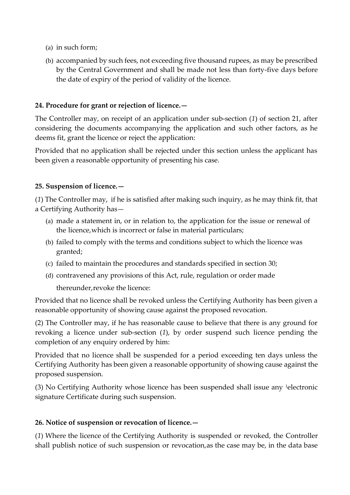- (a) in such form;
- (b) accompanied by such fees, not exceeding five thousand rupees, as may be prescribed by the Central Government and shall be made not less than forty-five days before the date of expiry of the period of validity of the licence.

### **24. Procedure for grant or rejection of licence.—**

The Controller may, on receipt of an application under sub-section (*1*) of section 21, after considering the documents accompanying the application and such other factors, as he deems fit, grant the licence or reject the application:

Provided that no application shall be rejected under this section unless the applicant has been given a reasonable opportunity of presenting his case.

### **25. Suspension of licence.—**

(*1*) The Controller may, if he is satisfied after making such inquiry, as he may think fit, that a Certifying Authority has—

- (a) made a statement in, or in relation to, the application for the issue or renewal of the licence,which is incorrect or false in material particulars;
- (b) failed to comply with the terms and conditions subject to which the licence was granted;
- (c) failed to maintain the procedures and standards specified in section 30;
- (d) contravened any provisions of this Act, rule, regulation or order made

thereunder,revoke the licence:

Provided that no licence shall be revoked unless the Certifying Authority has been given a reasonable opportunity of showing cause against the proposed revocation.

(2) The Controller may, if he has reasonable cause to believe that there is any ground for revoking a licence under sub-section (*1*), by order suspend such licence pending the completion of any enquiry ordered by him:

Provided that no licence shall be suspended for a period exceeding ten days unless the Certifying Authority has been given a reasonable opportunity of showing cause against the proposed suspension.

(3) No Certifying Authority whose licence has been suspended shall issue any 1electronic signature Certificate during such suspension.

#### **26. Notice of suspension or revocation of licence.—**

(*1*) Where the licence of the Certifying Authority is suspended or revoked, the Controller shall publish notice of such suspension or revocation,as the case may be, in the data base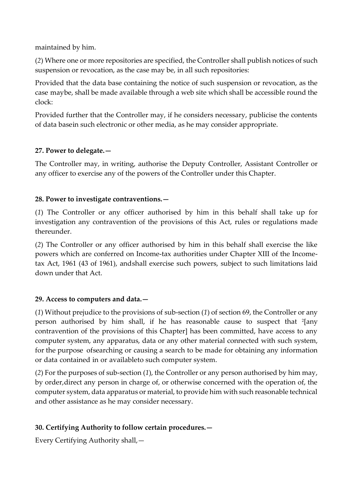maintained by him.

(*2*) Where one or more repositories are specified, the Controller shall publish notices of such suspension or revocation, as the case may be, in all such repositories:

Provided that the data base containing the notice of such suspension or revocation, as the case maybe, shall be made available through a web site which shall be accessible round the clock:

Provided further that the Controller may, if he considers necessary, publicise the contents of data basein such electronic or other media, as he may consider appropriate.

### **27. Power to delegate.—**

The Controller may, in writing, authorise the Deputy Controller, Assistant Controller or any officer to exercise any of the powers of the Controller under this Chapter.

### **28. Power to investigate contraventions.—**

(*1*) The Controller or any officer authorised by him in this behalf shall take up for investigation any contravention of the provisions of this Act, rules or regulations made thereunder.

(*2*) The Controller or any officer authorised by him in this behalf shall exercise the like powers which are conferred on Income-tax authorities under Chapter XIII of the Incometax Act, 1961 (43 of 1961), andshall exercise such powers, subject to such limitations laid down under that Act.

### **29. Access to computers and data.—**

(*1*) Without prejudice to the provisions of sub-section (*1*) of section 69, the Controller or any person authorised by him shall, if he has reasonable cause to suspect that <sup>2</sup> [any contravention of the provisions of this Chapter] has been committed, have access to any computer system, any apparatus, data or any other material connected with such system, for the purpose ofsearching or causing a search to be made for obtaining any information or data contained in or availableto such computer system.

(*2*) For the purposes of sub-section (*1*), the Controller or any person authorised by him may, by order,direct any person in charge of, or otherwise concerned with the operation of, the computer system, data apparatus or material, to provide him with such reasonable technical and other assistance as he may consider necessary.

### **30. Certifying Authority to follow certain procedures.—**

Every Certifying Authority shall,—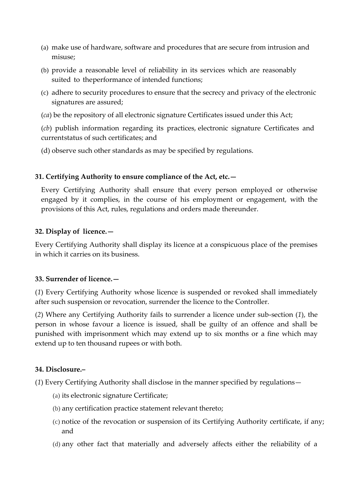- (a) make use of hardware, software and procedures that are secure from intrusion and misuse;
- (b) provide a reasonable level of reliability in its services which are reasonably suited to theperformance of intended functions;
- (c) adhere to security procedures to ensure that the secrecy and privacy of the electronic signatures are assured;
- (*ca*) be the repository of all electronic signature Certificates issued under this Act;

(*cb*) publish information regarding its practices, electronic signature Certificates and currentstatus of such certificates; and

(d) observe such other standards as may be specified by regulations.

### **31. Certifying Authority to ensure compliance of the Act, etc.—**

Every Certifying Authority shall ensure that every person employed or otherwise engaged by it complies, in the course of his employment or engagement, with the provisions of this Act, rules, regulations and orders made thereunder.

### **32. Display of licence.—**

Every Certifying Authority shall display its licence at a conspicuous place of the premises in which it carries on its business.

### **33. Surrender of licence.—**

(*1*) Every Certifying Authority whose licence is suspended or revoked shall immediately after such suspension or revocation, surrender the licence to the Controller.

(*2*) Where any Certifying Authority fails to surrender a licence under sub-section (*1*), the person in whose favour a licence is issued, shall be guilty of an offence and shall be punished with imprisonment which may extend up to six months or a fine which may extend up to ten thousand rupees or with both.

### **34. Disclosure.–**

(*1*) Every Certifying Authority shall disclose in the manner specified by regulations—

- (a) its electronic signature Certificate;
- (b) any certification practice statement relevant thereto;
- (c) notice of the revocation or suspension of its Certifying Authority certificate, if any; and
- (d) any other fact that materially and adversely affects either the reliability of a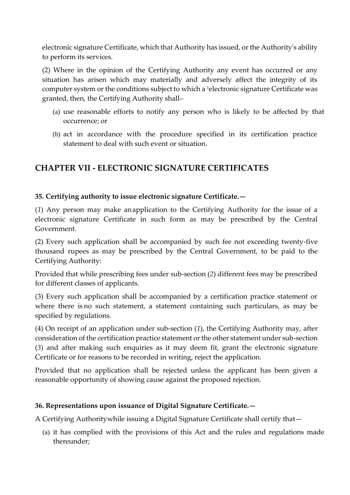electronic signature Certificate, which that Authority has issued, or the Authority's ability to perform its services.

(2) Where in the opinion of the Certifying Authority any event has occurred or any situation has arisen which may materially and adversely affect the integrity of its computer system or the conditions subject to which a <sup>1</sup>electronic signature Certificate was granted, then, the Certifying Authority shall–

- (a) use reasonable efforts to notify any person who is likely to be affected by that occurrence; or
- (b) act in accordance with the procedure specified in its certification practice statement to deal with such event or situation.

# **CHAPTER VII - ELECTRONIC SIGNATURE CERTIFICATES**

### **35. Certifying authority to issue electronic signature Certificate.—**

(*1*) Any person may make anapplication to the Certifying Authority for the issue of a electronic signature Certificate in such form as may be prescribed by the Central Government.

(2) Every such application shall be accompanied by such fee not exceeding twenty-five thousand rupees as may be prescribed by the Central Government, to be paid to the Certifying Authority:

Provided that while prescribing fees under sub-section (*2*) different fees may be prescribed for different classes of applicants.

(3) Every such application shall be accompanied by a certification practice statement or where there is no such statement, a statement containing such particulars, as may be specified by regulations.

(4) On receipt of an application under sub-section (*1*), the Certifying Authority may, after consideration of the certification practice statement or the other statement under sub-section (*3*) and after making such enquiries as it may deem fit, grant the electronic signature Certificate or for reasons to be recorded in writing, reject the application.

Provided that no application shall be rejected unless the applicant has been given a reasonable opportunity of showing cause against the proposed rejection.

### **36. Representations upon issuance of Digital Signature Certificate.—**

A Certifying Authoritywhile issuing a Digital Signature Certificate shall certify that—

(a) it has complied with the provisions of this Act and the rules and regulations made thereunder;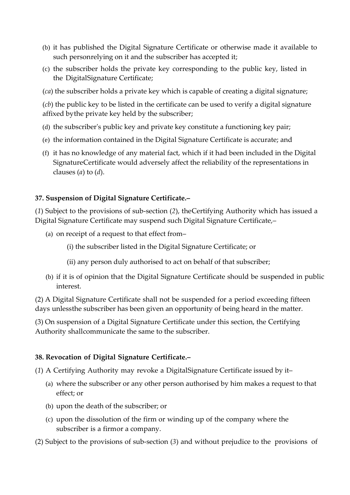- (b) it has published the Digital Signature Certificate or otherwise made it available to such personrelying on it and the subscriber has accepted it;
- (c) the subscriber holds the private key corresponding to the public key, listed in the DigitalSignature Certificate;
- (*ca*) the subscriber holds a private key which is capable of creating a digital signature;

(*cb*) the public key to be listed in the certificate can be used to verify a digital signature affixed bythe private key held by the subscriber;

- (d) the subscriber's public key and private key constitute a functioning key pair;
- (e) the information contained in the Digital Signature Certificate is accurate; and
- (f) it has no knowledge of any material fact, which if it had been included in the Digital SignatureCertificate would adversely affect the reliability of the representations in clauses (*a*) to (*d*).

### **37. Suspension of Digital Signature Certificate.–**

(*1*) Subject to the provisions of sub-section (*2*), theCertifying Authority which has issued a Digital Signature Certificate may suspend such Digital Signature Certificate,–

- (a) on receipt of a request to that effect from–
	- (i) the subscriber listed in the Digital Signature Certificate; or
	- (ii) any person duly authorised to act on behalf of that subscriber;
- (b) if it is of opinion that the Digital Signature Certificate should be suspended in public interest.

(2) A Digital Signature Certificate shall not be suspended for a period exceeding fifteen days unlessthe subscriber has been given an opportunity of being heard in the matter.

(3) On suspension of a Digital Signature Certificate under this section, the Certifying Authority shallcommunicate the same to the subscriber.

### **38. Revocation of Digital Signature Certificate.–**

- (*1*) A Certifying Authority may revoke a DigitalSignature Certificate issued by it–
	- (a) where the subscriber or any other person authorised by him makes a request to that effect; or
	- (b) upon the death of the subscriber; or
	- (c) upon the dissolution of the firm or winding up of the company where the subscriber is a firmor a company.

(2) Subject to the provisions of sub-section (*3*) and without prejudice to the provisions of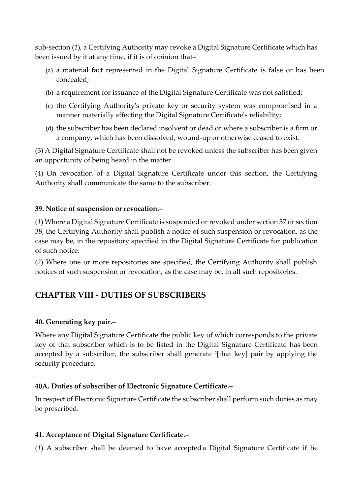sub-section (*1*), a Certifying Authority may revoke a Digital Signature Certificate which has been issued by it at any time, if it is of opinion that–

- (a) a material fact represented in the Digital Signature Certificate is false or has been concealed;
- (b) a requirement for issuance of the Digital Signature Certificate was not satisfied;
- (c) the Certifying Authority's private key or security system was compromised in a manner materially affecting the Digital Signature Certificate's reliability;
- (d) the subscriber has been declared insolvent or dead or where a subscriber is a firm or a company, which has been dissolved, wound-up or otherwise ceased to exist.

(3) A Digital Signature Certificate shall not be revoked unless the subscriber has been given an opportunity of being heard in the matter.

(4) On revocation of a Digital Signature Certificate under this section, the Certifying Authority shall communicate the same to the subscriber.

### **39. Notice of suspension or revocation.–**

(*1*) Where a Digital Signature Certificate is suspended or revoked under section 37 or section 38, the Certifying Authority shall publish a notice of such suspension or revocation, as the case may be, in the repository specified in the Digital Signature Certificate for publication of such notice.

(*2*) Where one or more repositories are specified, the Certifying Authority shall publish notices of such suspension or revocation, as the case may be, in all such repositories.

## **CHAPTER VIII - DUTIES OF SUBSCRIBERS**

### **40. Generating key pair.–**

Where any Digital Signature Certificate the public key of which corresponds to the private key of that subscriber which is to be listed in the Digital Signature Certificate has been accepted by a subscriber, the subscriber shall generate <sup>2</sup> [that key] pair by applying the security procedure.

### **40A. Duties of subscriber of Electronic Signature Certificate.–**

In respect of Electronic Signature Certificate the subscriber shall perform such duties as may be prescribed.

#### **41. Acceptance of Digital Signature Certificate.–**

(*1*) A subscriber shall be deemed to have accepteda Digital Signature Certificate if he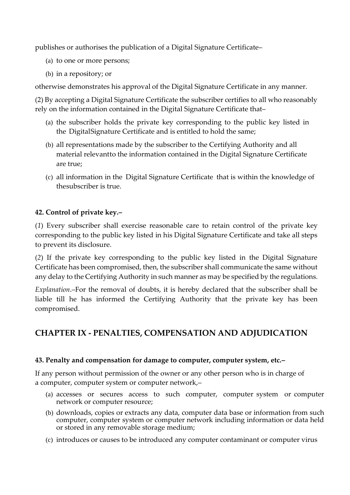publishes or authorises the publication of a Digital Signature Certificate–

- (a) to one or more persons;
- (b) in a repository; or

otherwise demonstrates his approval of the Digital Signature Certificate in any manner.

(2) By accepting a Digital Signature Certificate the subscriber certifies to all who reasonably rely on the information contained in the Digital Signature Certificate that–

- (a) the subscriber holds the private key corresponding to the public key listed in the DigitalSignature Certificate and is entitled to hold the same;
- (b) all representations made by the subscriber to the Certifying Authority and all material relevantto the information contained in the Digital Signature Certificate are true;
- (c) all information in the Digital Signature Certificate that is within the knowledge of thesubscriber is true.

### **42. Control of private key.–**

(*1*) Every subscriber shall exercise reasonable care to retain control of the private key corresponding to the public key listed in his Digital Signature Certificate and take all steps to prevent its disclosure.

(*2*) If the private key corresponding to the public key listed in the Digital Signature Certificate has been compromised, then, the subscriber shall communicate the same without any delay to the Certifying Authority in such manner as may be specified by the regulations.

*Explanation*.–For the removal of doubts, it is hereby declared that the subscriber shall be liable till he has informed the Certifying Authority that the private key has been compromised.

# **CHAPTER IX - PENALTIES, COMPENSATION AND ADJUDICATION**

### **43. Penalty and compensation for damage to computer, computer system, etc.–**

If any person without permission of the owner or any other person who is in charge of a computer, computer system or computer network,–

- (a) accesses or secures access to such computer, computer system or computer network or computer resource;
- (b) downloads, copies or extracts any data, computer data base or information from such computer, computer system or computer network including information or data held or stored in any removable storage medium;
- (c) introduces or causes to be introduced any computer contaminant or computer virus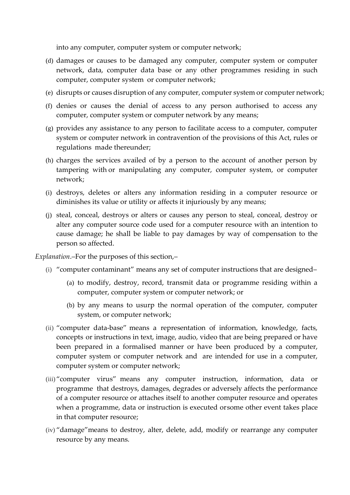into any computer, computer system or computer network;

- (d) damages or causes to be damaged any computer, computer system or computer network, data, computer data base or any other programmes residing in such computer, computer system or computer network;
- (e) disrupts or causes disruption of any computer, computer system or computer network;
- (f) denies or causes the denial of access to any person authorised to access any computer, computer system or computer network by any means;
- (g) provides any assistance to any person to facilitate access to a computer, computer system or computer network in contravention of the provisions of this Act, rules or regulations made thereunder;
- (h) charges the services availed of by a person to the account of another person by tampering with or manipulating any computer, computer system, or computer network;
- (i) destroys, deletes or alters any information residing in a computer resource or diminishes its value or utility or affects it injuriously by any means;
- (j) steal, conceal, destroys or alters or causes any person to steal, conceal, destroy or alter any computer source code used for a computer resource with an intention to cause damage; he shall be liable to pay damages by way of compensation to the person so affected.

*Explanation*.–For the purposes of this section,–

- (i) "computer contaminant" means any set of computer instructions that are designed–
	- (a) to modify, destroy, record, transmit data or programme residing within a computer, computer system or computer network; or
	- (b) by any means to usurp the normal operation of the computer, computer system, or computer network;
- (ii) "computer data-base" means a representation of information, knowledge, facts, concepts or instructions in text, image, audio, video that are being prepared or have been prepared in a formalised manner or have been produced by a computer, computer system or computer network and are intended for use in a computer, computer system or computer network;
- (iii)"computer virus" means any computer instruction, information, data or programme that destroys, damages, degrades or adversely affects the performance of a computer resource or attaches itself to another computer resource and operates when a programme, data or instruction is executed orsome other event takes place in that computer resource;
- (iv) "damage"means to destroy, alter, delete, add, modify or rearrange any computer resource by any means.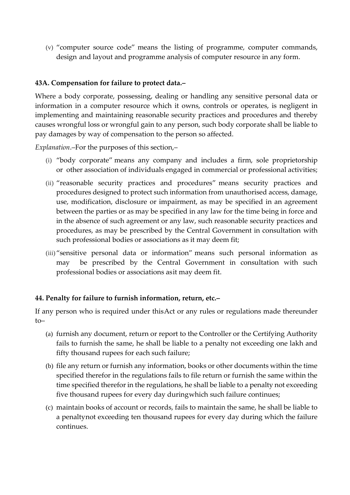(v) "computer source code" means the listing of programme, computer commands, design and layout and programme analysis of computer resource in any form.

### **43A. Compensation for failure to protect data.–**

Where a body corporate, possessing, dealing or handling any sensitive personal data or information in a computer resource which it owns, controls or operates, is negligent in implementing and maintaining reasonable security practices and procedures and thereby causes wrongful loss or wrongful gain to any person, such body corporate shall be liable to pay damages by way of compensation to the person so affected.

*Explanation*.–For the purposes of this section,–

- (i) "body corporate" means any company and includes a firm, sole proprietorship or other association of individuals engaged in commercial or professional activities;
- (ii) "reasonable security practices and procedures" means security practices and procedures designed to protect such information from unauthorised access, damage, use, modification, disclosure or impairment, as may be specified in an agreement between the parties or as may be specified in any law for the time being in force and in the absence of such agreement or any law, such reasonable security practices and procedures, as may be prescribed by the Central Government in consultation with such professional bodies or associations as it may deem fit;
- (iii)"sensitive personal data or information" means such personal information as may be prescribed by the Central Government in consultation with such professional bodies or associations asit may deem fit.

### **44. Penalty for failure to furnish information, return, etc.–**

If any person who is required under thisAct or any rules or regulations made thereunder to–

- (a) furnish any document, return or report to the Controller or the Certifying Authority fails to furnish the same, he shall be liable to a penalty not exceeding one lakh and fifty thousand rupees for each such failure;
- (b) file any return or furnish any information, books or other documents within the time specified therefor in the regulations fails to file return or furnish the same within the time specified therefor in the regulations, he shall be liable to a penalty not exceeding five thousand rupees for every day duringwhich such failure continues;
- (c) maintain books of account or records, fails to maintain the same, he shall be liable to a penaltynot exceeding ten thousand rupees for every day during which the failure continues.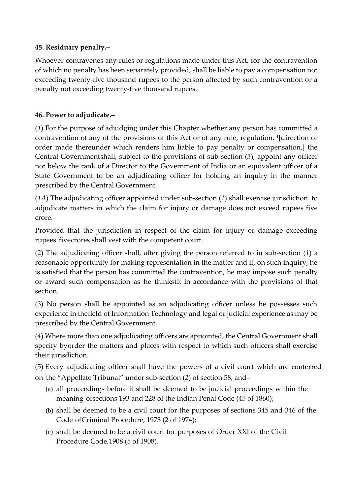### **45. Residuary penalty.–**

Whoever contravenes any rules or regulations made under this Act, for the contravention of which no penalty has been separately provided, shall be liable to pay a compensation not exceeding twenty-five thousand rupees to the person affected by such contravention or a penalty not exceeding twenty-five thousand rupees.

### **46. Power to adjudicate.–**

(*1*) For the purpose of adjudging under this Chapter whether any person has committed a contravention of any of the provisions of this Act or of any rule, regulation, <sup>1</sup> [direction or order made thereunder which renders him liable to pay penalty or compensation,] the Central Governmentshall, subject to the provisions of sub-section (*3*), appoint any officer not below the rank of a Director to the Government of India or an equivalent officer of a State Government to be an adjudicating officer for holding an inquiry in the manner prescribed by the Central Government.

(*1A*) The adjudicating officer appointed under sub-section (*1*) shall exercise jurisdiction to adjudicate matters in which the claim for injury or damage does not exceed rupees five crore:

Provided that the jurisdiction in respect of the claim for injury or damage exceeding rupees fivecrores shall vest with the competent court.

(2) The adjudicating officer shall, after giving the person referred to in sub-section (*1*) a reasonable opportunity for making representation in the matter and if, on such inquiry, he is satisfied that the person has committed the contravention, he may impose such penalty or award such compensation as he thinksfit in accordance with the provisions of that section.

(3) No person shall be appointed as an adjudicating officer unless he possesses such experience in thefield of Information Technology and legal or judicial experience as may be prescribed by the Central Government.

(4) Where more than one adjudicating officers are appointed, the Central Government shall specify byorder the matters and places with respect to which such officers shall exercise their jurisdiction.

(5) Every adjudicating officer shall have the powers of a civil court which are conferred on the "Appellate Tribunal" under sub-section (*2*) of section 58, and–

- (a) all proceedings before it shall be deemed to be judicial proceedings within the meaning ofsections 193 and 228 of the Indian Penal Code (45 of 1860);
- (b) shall be deemed to be a civil court for the purposes of sections 345 and 346 of the Code ofCriminal Procedure, 1973 (2 of 1974);
- (c) shall be deemed to be a civil court for purposes of Order XXI of the Civil Procedure Code,1908 (5 of 1908).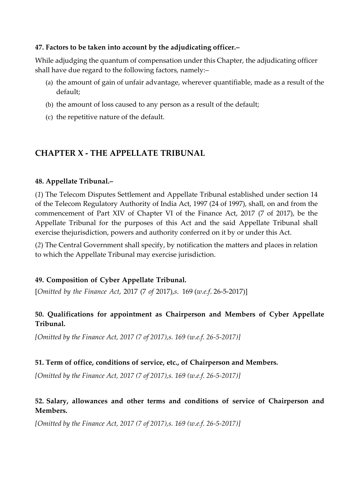### **47. Factors to be taken into account by the adjudicating officer.–**

While adjudging the quantum of compensation under this Chapter, the adjudicating officer shall have due regard to the following factors, namely:–

- (a) the amount of gain of unfair advantage, wherever quantifiable, made as a result of the default;
- (b) the amount of loss caused to any person as a result of the default;
- (c) the repetitive nature of the default.

# **CHAPTER X - THE APPELLATE TRIBUNAL**

### **48. Appellate Tribunal.–**

(*1*) The Telecom Disputes Settlement and Appellate Tribunal established under section 14 of the Telecom Regulatory Authority of India Act, 1997 (24 of 1997), shall, on and from the commencement of Part XIV of Chapter VI of the Finance Act, 2017 (7 of 2017), be the Appellate Tribunal for the purposes of this Act and the said Appellate Tribunal shall exercise thejurisdiction, powers and authority conferred on it by or under this Act.

(*2*) The Central Government shall specify, by notification the matters and places in relation to which the Appellate Tribunal may exercise jurisdiction.

### **49. Composition of Cyber Appellate Tribunal.**

[*Omitted by the Finance Act*, 2017 (7 *of* 2017),*s*. 169 (*w.e.f*. 26-5-2017)]

### **50. Qualifications for appointment as Chairperson and Members of Cyber Appellate Tribunal.**

*[Omitted by the Finance Act, 2017 (7 of 2017),s. 169 (w.e.f. 26-5-2017)]* 

### **51. Term of office, conditions of service, etc., of Chairperson and Members.**

*[Omitted by the Finance Act, 2017 (7 of 2017),s. 169 (w.e.f. 26-5-2017)]*

### **52. Salary, allowances and other terms and conditions of service of Chairperson and Members.**

*[Omitted by the Finance Act, 2017 (7 of 2017),s. 169 (w.e.f. 26-5-2017)]*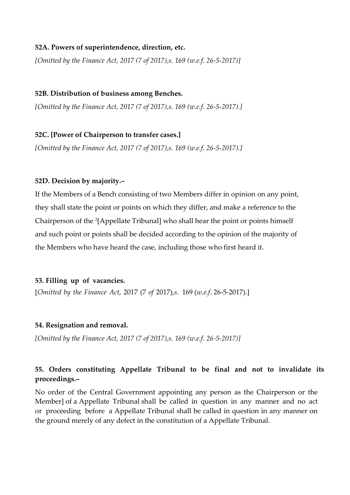#### **52A. Powers of superintendence, direction, etc.**

*[Omitted by the Finance Act, 2017 (7 of 2017),s. 169 (w.e.f. 26-5-2017)]*

#### **52B. Distribution of business among Benches.**

*[Omitted by the Finance Act, 2017 (7 of 2017),s. 169 (w.e.f. 26-5-2017).]*

#### **52C. [Power of Chairperson to transfer cases.]**

*[Omitted by the Finance Act, 2017 (7 of 2017),s. 169 (w.e.f. 26-5-2017).]*

#### **52D. Decision by majority.–**

If the Members of a Bench consisting of two Members differ in opinion on any point, they shall state the point or points on which they differ, and make a reference to the Chairperson of the <sup>2</sup> [Appellate Tribunal] who shall hear the point or points himself and such point or points shall be decided according to the opinion of the majority of the Members who have heard the case, including those who first heard it.

#### **53. Filling up of vacancies.**

[*Omitted by the Finance Act*, 2017 (7 *of* 2017),*s*. 169 (*w.e.f*. 26-5-2017).]

#### **54. Resignation and removal.**

*[Omitted by the Finance Act, 2017 (7 of 2017),s. 169 (w.e.f. 26-5-2017)]*

### **55. Orders constituting Appellate Tribunal to be final and not to invalidate its proceedings.–**

No order of the Central Government appointing any person as the Chairperson or the Member] of a Appellate Tribunal shall be called in question in any manner and no act or proceeding before a Appellate Tribunal shall be called in question in any manner on the ground merely of any defect in the constitution of a Appellate Tribunal.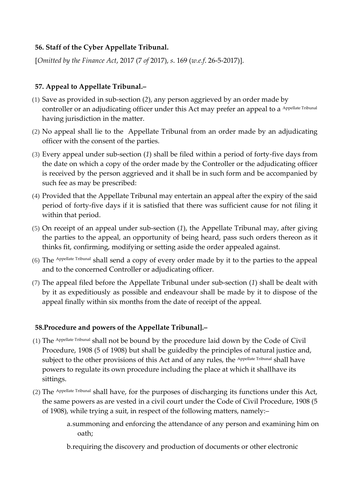### **56. Staff of the Cyber Appellate Tribunal.**

[*Omitted by the Finance Act*, 2017 (7 *of* 2017), *s*. 169 (*w.e.f*. 26-5-2017)].

### **57. Appeal to Appellate Tribunal.–**

- (1) Save as provided in sub-section (*2*), any person aggrieved by an order made by controller or an adjudicating officer under this Act may prefer an appeal to a Appellate Tribunal having jurisdiction in the matter.
- (2) No appeal shall lie to the Appellate Tribunal from an order made by an adjudicating officer with the consent of the parties.
- (3) Every appeal under sub-section (*1*) shall be filed within a period of forty-five days from the date on which a copy of the order made by the Controller or the adjudicating officer is received by the person aggrieved and it shall be in such form and be accompanied by such fee as may be prescribed:
- (4) Provided that the Appellate Tribunal may entertain an appeal after the expiry of the said period of forty-five days if it is satisfied that there was sufficient cause for not filing it within that period.
- (5) On receipt of an appeal under sub-section (*1*), the Appellate Tribunal may, after giving the parties to the appeal, an opportunity of being heard, pass such orders thereon as it thinks fit, confirming, modifying or setting aside the order appealed against.
- (6) The Appellate Tribunal shall send a copy of every order made by it to the parties to the appeal and to the concerned Controller or adjudicating officer.
- (7) The appeal filed before the Appellate Tribunal under sub-section (*1*) shall be dealt with by it as expeditiously as possible and endeavour shall be made by it to dispose of the appeal finally within six months from the date of receipt of the appeal.

#### **58.Procedure and powers of the Appellate Tribunal].–**

- (1) The Appellate Tribunal shall not be bound by the procedure laid down by the Code of Civil Procedure, 1908 (5 of 1908) but shall be guidedby the principles of natural justice and, subject to the other provisions of this Act and of any rules, the Appellate Tribunal shall have powers to regulate its own procedure including the place at which it shallhave its sittings.
- (2) The Appellate Tribunal shall have, for the purposes of discharging its functions under this Act, the same powers as are vested in a civil court under the Code of Civil Procedure, 1908 (5 of 1908), while trying a suit, in respect of the following matters, namely:–
	- a.summoning and enforcing the attendance of any person and examining him on oath;
	- b.requiring the discovery and production of documents or other electronic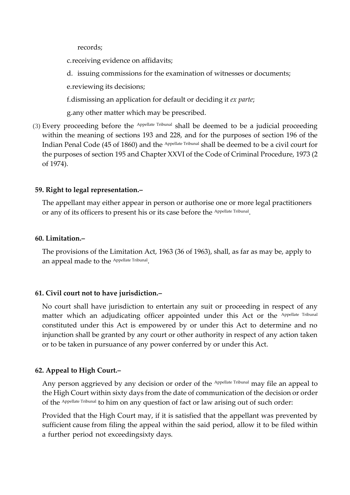records;

c.receiving evidence on affidavits;

d. issuing commissions for the examination of witnesses or documents;

e.reviewing its decisions;

f.dismissing an application for default or deciding it *ex parte*;

g.any other matter which may be prescribed.

(3) Every proceeding before the Appellate Tribunal shall be deemed to be a judicial proceeding within the meaning of sections 193 and 228, and for the purposes of section 196 of the Indian Penal Code (45 of 1860) and the Appellate Tribunal shall be deemed to be a civil court for the purposes of section 195 and Chapter XXVI of the Code of Criminal Procedure, 1973 (2 of 1974).

#### **59. Right to legal representation.–**

The appellant may either appear in person or authorise one or more legal practitioners or any of its officers to present his or its case before the Appellate Tribunal .

#### **60. Limitation.–**

The provisions of the Limitation Act, 1963 (36 of 1963), shall, as far as may be, apply to an appeal made to the <sup>Appellate Tribunal</sup>.

#### **61. Civil court not to have jurisdiction.–**

No court shall have jurisdiction to entertain any suit or proceeding in respect of any matter which an adjudicating officer appointed under this Act or the Appellate Tribunal constituted under this Act is empowered by or under this Act to determine and no injunction shall be granted by any court or other authority in respect of any action taken or to be taken in pursuance of any power conferred by or under this Act.

#### **62. Appeal to High Court.–**

Any person aggrieved by any decision or order of the Appellate Tribunal may file an appeal to the High Court within sixty days from the date of communication of the decision or order of the Appellate Tribunal to him on any question of fact or law arising out of such order:

Provided that the High Court may, if it is satisfied that the appellant was prevented by sufficient cause from filing the appeal within the said period, allow it to be filed within a further period not exceedingsixty days.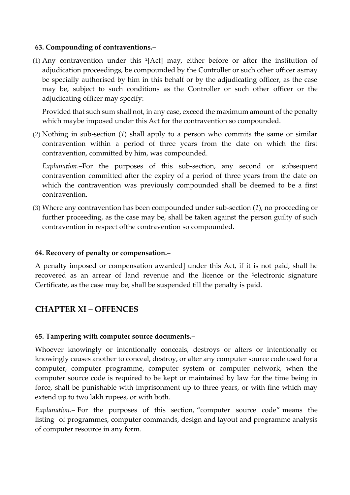### **63. Compounding of contraventions.–**

(1) Any contravention under this <sup>2</sup> [Act] may, either before or after the institution of adjudication proceedings, be compounded by the Controller or such other officer asmay be specially authorised by him in this behalf or by the adjudicating officer, as the case may be, subject to such conditions as the Controller or such other officer or the adjudicating officer may specify:

Provided that such sum shall not, in any case, exceed the maximum amount of the penalty which maybe imposed under this Act for the contravention so compounded.

(2) Nothing in sub-section (*1*) shall apply to a person who commits the same or similar contravention within a period of three years from the date on which the first contravention, committed by him, was compounded.

*Explanation*.–For the purposes of this sub-section, any second or subsequent contravention committed after the expiry of a period of three years from the date on which the contravention was previously compounded shall be deemed to be a first contravention.

(3) Where any contravention has been compounded under sub-section (*1*), no proceeding or further proceeding, as the case may be, shall be taken against the person guilty of such contravention in respect ofthe contravention so compounded.

#### **64. Recovery of penalty or compensation.–**

A penalty imposed or compensation awarded] under this Act, if it is not paid, shall he recovered as an arrear of land revenue and the licence or the 5electronic signature Certificate, as the case may be, shall be suspended till the penalty is paid.

## **CHAPTER XI – OFFENCES**

#### **65. Tampering with computer source documents.–**

Whoever knowingly or intentionally conceals, destroys or alters or intentionally or knowingly causes another to conceal, destroy, or alter any computer source code used for a computer, computer programme, computer system or computer network, when the computer source code is required to be kept or maintained by law for the time being in force, shall be punishable with imprisonment up to three years, or with fine which may extend up to two lakh rupees, or with both.

*Explanation.*– For the purposes of this section, "computer source code" means the listing of programmes, computer commands, design and layout and programme analysis of computer resource in any form.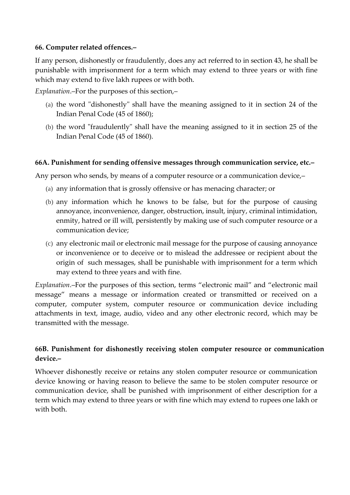### **66. Computer related offences.–**

If any person, dishonestly or fraudulently, does any act referred to in section 43, he shall be punishable with imprisonment for a term which may extend to three years or with fine which may extend to five lakh rupees or with both.

*Explanation*.–For the purposes of this section,–

- (a) the word "dishonestly" shall have the meaning assigned to it in section 24 of the Indian Penal Code (45 of 1860);
- (b) the word "fraudulently" shall have the meaning assigned to it in section 25 of the Indian Penal Code (45 of 1860).

### **66A. Punishment for sending offensive messages through communication service, etc.–**

Any person who sends, by means of a computer resource or a communication device,–

- (a) any information that is grossly offensive or has menacing character; or
- (b) any information which he knows to be false, but for the purpose of causing annoyance, inconvenience, danger, obstruction, insult, injury, criminal intimidation, enmity, hatred or ill will, persistently by making use of such computer resource or a communication device;
- (c) any electronic mail or electronic mail message for the purpose of causing annoyance or inconvenience or to deceive or to mislead the addressee or recipient about the origin of such messages, shall be punishable with imprisonment for a term which may extend to three years and with fine.

*Explanation*.–For the purposes of this section, terms "electronic mail" and "electronic mail message" means a message or information created or transmitted or received on a computer, computer system, computer resource or communication device including attachments in text, image, audio, video and any other electronic record, which may be transmitted with the message.

### **66B. Punishment for dishonestly receiving stolen computer resource or communication device.–**

Whoever dishonestly receive or retains any stolen computer resource or communication device knowing or having reason to believe the same to be stolen computer resource or communication device, shall be punished with imprisonment of either description for a term which may extend to three years or with fine which may extend to rupees one lakh or with both.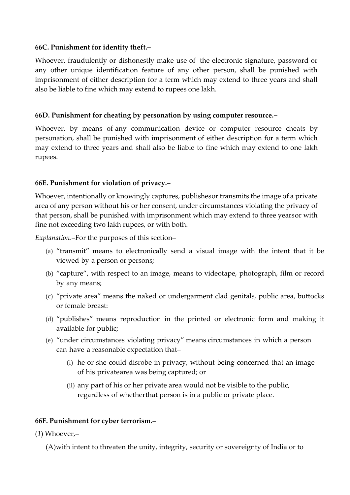### **66C. Punishment for identity theft.–**

Whoever, fraudulently or dishonestly make use of the electronic signature, password or any other unique identification feature of any other person, shall be punished with imprisonment of either description for a term which may extend to three years and shall also be liable to fine which may extend to rupees one lakh.

### **66D. Punishment for cheating by personation by using computer resource.–**

Whoever, by means of any communication device or computer resource cheats by personation, shall be punished with imprisonment of either description for a term which may extend to three years and shall also be liable to fine which may extend to one lakh rupees.

### **66E. Punishment for violation of privacy.–**

Whoever, intentionally or knowingly captures, publishesor transmits the image of a private area of any person without his or her consent, under circumstances violating the privacy of that person, shall be punished with imprisonment which may extend to three yearsor with fine not exceeding two lakh rupees, or with both.

*Explanation*.–For the purposes of this section–

- (a) "transmit" means to electronically send a visual image with the intent that it be viewed by a person or persons;
- (b) "capture", with respect to an image, means to videotape, photograph, film or record by any means;
- (c) "private area" means the naked or undergarment clad genitals, public area, buttocks or female breast:
- (d) "publishes" means reproduction in the printed or electronic form and making it available for public;
- (e) "under circumstances violating privacy" means circumstances in which a person can have a reasonable expectation that–
	- (i) he or she could disrobe in privacy, without being concerned that an image of his privatearea was being captured; or
	- (ii) any part of his or her private area would not be visible to the public, regardless of whetherthat person is in a public or private place.

### **66F. Punishment for cyber terrorism.–**

(*1*) Whoever,–

(A)with intent to threaten the unity, integrity, security or sovereignty of India or to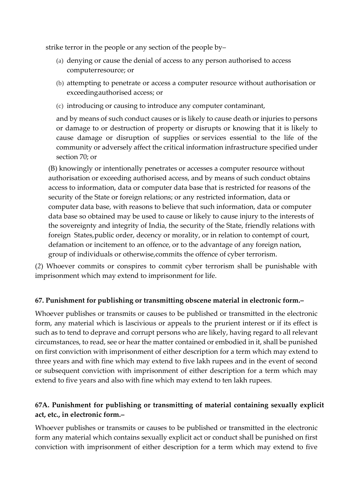strike terror in the people or any section of the people by–

- (a) denying or cause the denial of access to any person authorised to access computerresource; or
- (b) attempting to penetrate or access a computer resource without authorisation or exceedingauthorised access; or
- (c) introducing or causing to introduce any computer contaminant,

and by means of such conduct causes or is likely to cause death or injuries to persons or damage to or destruction of property or disrupts or knowing that it is likely to cause damage or disruption of supplies or services essential to the life of the community or adversely affect the critical information infrastructure specified under section 70; or

(B) knowingly or intentionally penetrates or accesses a computer resource without authorisation or exceeding authorised access, and by means of such conduct obtains access to information, data or computer data base that is restricted for reasons of the security of the State or foreign relations; or any restricted information, data or computer data base, with reasons to believe that such information, data or computer data base so obtained may be used to cause or likely to cause injury to the interests of the sovereignty and integrity of India, the security of the State, friendly relations with foreign States,public order, decency or morality, or in relation to contempt of court, defamation or incitement to an offence, or to the advantage of any foreign nation, group of individuals or otherwise,commits the offence of cyber terrorism.

(*2*) Whoever commits or conspires to commit cyber terrorism shall be punishable with imprisonment which may extend to imprisonment for life.

### **67. Punishment for publishing or transmitting obscene material in electronic form.–**

Whoever publishes or transmits or causes to be published or transmitted in the electronic form, any material which is lascivious or appeals to the prurient interest or if its effect is such as to tend to deprave and corrupt persons who are likely, having regard to all relevant circumstances, to read, see or hear the matter contained or embodied in it, shall be punished on first conviction with imprisonment of either description for a term which may extend to three years and with fine which may extend to five lakh rupees and in the event of second or subsequent conviction with imprisonment of either description for a term which may extend to five years and also with fine which may extend to ten lakh rupees.

### **67A. Punishment for publishing or transmitting of material containing sexually explicit act, etc., in electronic form.–**

Whoever publishes or transmits or causes to be published or transmitted in the electronic form any material which contains sexually explicit act or conduct shall be punished on first conviction with imprisonment of either description for a term which may extend to five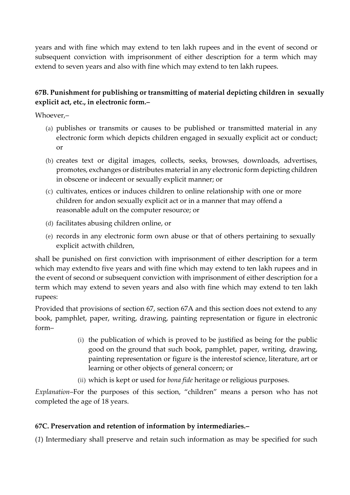years and with fine which may extend to ten lakh rupees and in the event of second or subsequent conviction with imprisonment of either description for a term which may extend to seven years and also with fine which may extend to ten lakh rupees.

### **67B. Punishment for publishing or transmitting of material depicting children in sexually explicit act, etc., in electronic form.–**

Whoever,–

- (a) publishes or transmits or causes to be published or transmitted material in any electronic form which depicts children engaged in sexually explicit act or conduct; or
- (b) creates text or digital images, collects, seeks, browses, downloads, advertises, promotes, exchanges or distributes material in any electronic form depicting children in obscene or indecent or sexually explicit manner; or
- (c) cultivates, entices or induces children to online relationship with one or more children for andon sexually explicit act or in a manner that may offend a reasonable adult on the computer resource; or
- (d) facilitates abusing children online, or
- (e) records in any electronic form own abuse or that of others pertaining to sexually explicit actwith children,

shall be punished on first conviction with imprisonment of either description for a term which may extendto five years and with fine which may extend to ten lakh rupees and in the event of second or subsequent conviction with imprisonment of either description for a term which may extend to seven years and also with fine which may extend to ten lakh rupees:

Provided that provisions of section 67, section 67A and this section does not extend to any book, pamphlet, paper, writing, drawing, painting representation or figure in electronic form–

- (i) the publication of which is proved to be justified as being for the public good on the ground that such book, pamphlet, paper, writing, drawing, painting representation or figure is the interestof science, literature, art or learning or other objects of general concern; or
- (ii) which is kept or used for *bona fide* heritage or religious purposes.

*Explanation*–For the purposes of this section, "children" means a person who has not completed the age of 18 years.

### **67C. Preservation and retention of information by intermediaries.–**

(*1*) Intermediary shall preserve and retain such information as may be specified for such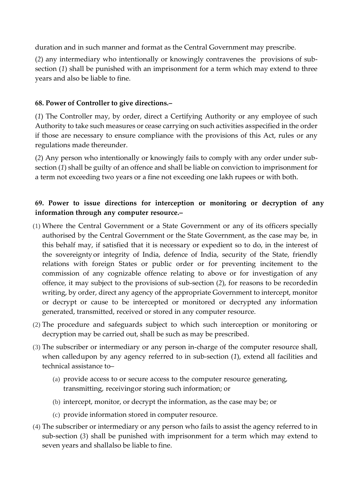duration and in such manner and format as the Central Government may prescribe.

(*2*) any intermediary who intentionally or knowingly contravenes the provisions of subsection (*1*) shall be punished with an imprisonment for a term which may extend to three years and also be liable to fine.

### **68. Power of Controller to give directions.–**

(*1*) The Controller may, by order, direct a Certifying Authority or any employee of such Authority to take such measures or cease carrying on such activities asspecified in the order if those are necessary to ensure compliance with the provisions of this Act, rules or any regulations made thereunder.

(*2*) Any person who intentionally or knowingly fails to comply with any order under subsection (*1*) shall be guilty of an offence and shall be liable on conviction to imprisonment for a term not exceeding two years or a fine not exceeding one lakh rupees or with both.

### **69. Power to issue directions for interception or monitoring or decryption of any information through any computer resource.–**

- (1) Where the Central Government or a State Government or any of its officers specially authorised by the Central Government or the State Government, as the case may be, in this behalf may, if satisfied that it is necessary or expedient so to do, in the interest of the sovereignty or integrity of India, defence of India, security of the State, friendly relations with foreign States or public order or for preventing incitement to the commission of any cognizable offence relating to above or for investigation of any offence, it may subject to the provisions of sub-section (*2*), for reasons to be recordedin writing, by order, direct any agency of the appropriate Government to intercept, monitor or decrypt or cause to be intercepted or monitored or decrypted any information generated, transmitted, received or stored in any computer resource.
- (2) The procedure and safeguards subject to which such interception or monitoring or decryption may be carried out, shall be such as may be prescribed.
- (3) The subscriber or intermediary or any person in-charge of the computer resource shall, when calledupon by any agency referred to in sub-section (*1*), extend all facilities and technical assistance to–
	- (a) provide access to or secure access to the computer resource generating, transmitting, receivingor storing such information; or
	- (b) intercept, monitor, or decrypt the information, as the case may be; or
	- (c) provide information stored in computer resource.
- (4) The subscriber or intermediary or any person who fails to assist the agency referred to in sub-section (*3*) shall be punished with imprisonment for a term which may extend to seven years and shallalso be liable to fine.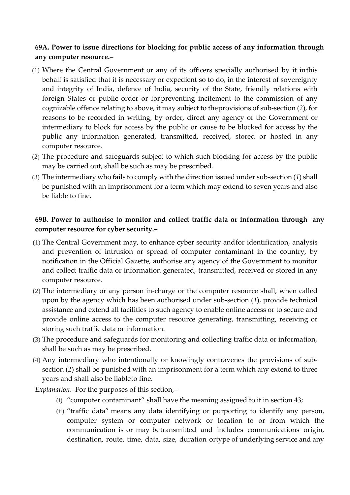### **69A. Power to issue directions for blocking for public access of any information through any computer resource.–**

- (1) Where the Central Government or any of its officers specially authorised by it inthis behalf is satisfied that it is necessary or expedient so to do, in the interest of sovereignty and integrity of India, defence of India, security of the State, friendly relations with foreign States or public order or forpreventing incitement to the commission of any cognizable offence relating to above, it may subject to theprovisions of sub-section (*2*), for reasons to be recorded in writing, by order, direct any agency of the Government or intermediary to block for access by the public or cause to be blocked for access by the public any information generated, transmitted, received, stored or hosted in any computer resource.
- (2) The procedure and safeguards subject to which such blocking for access by the public may be carried out, shall be such as may be prescribed.
- (3) The intermediary who fails to comply with the direction issued under sub-section (*1*) shall be punished with an imprisonment for a term which may extend to seven years and also be liable to fine.

### **69B. Power to authorise to monitor and collect traffic data or information through any computer resource for cyber security.–**

- (1) The Central Government may, to enhance cyber security andfor identification, analysis and prevention of intrusion or spread of computer contaminant in the country, by notification in the Official Gazette, authorise any agency of the Government to monitor and collect traffic data or information generated, transmitted, received or stored in any computer resource.
- (2) The intermediary or any person in-charge or the computer resource shall, when called upon by the agency which has been authorised under sub-section (*1*), provide technical assistance and extend all facilities to such agency to enable online access or to secure and provide online access to the computer resource generating, transmitting, receiving or storing such traffic data or information.
- (3) The procedure and safeguards for monitoring and collecting traffic data or information, shall be such as may be prescribed.
- (4) Any intermediary who intentionally or knowingly contravenes the provisions of subsection (*2*) shall be punished with an imprisonment for a term which any extend to three years and shall also be liableto fine.

*Explanation*.–For the purposes of this section,–

- (i) "computer contaminant" shall have the meaning assigned to it in section 43;
- (ii) "traffic data" means any data identifying or purporting to identify any person, computer system or computer network or location to or from which the communication is or may betransmitted and includes communications origin, destination, route, time, data, size, duration ortype of underlying service and any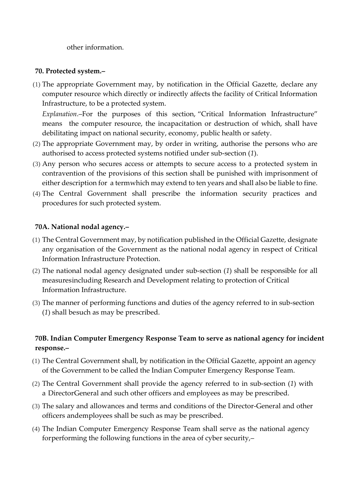other information.

### **70. Protected system.–**

(1) The appropriate Government may, by notification in the Official Gazette, declare any computer resource which directly or indirectly affects the facility of Critical Information Infrastructure, to be a protected system.

*Explanation*.–For the purposes of this section, "Critical Information Infrastructure" means the computer resource, the incapacitation or destruction of which, shall have debilitating impact on national security, economy, public health or safety.

- (2) The appropriate Government may, by order in writing, authorise the persons who are authorised to access protected systems notified under sub-section (*1*).
- (3) Any person who secures access or attempts to secure access to a protected system in contravention of the provisions of this section shall be punished with imprisonment of either description for a termwhich may extend to ten years and shall also be liable to fine.
- (4) The Central Government shall prescribe the information security practices and procedures for such protected system.

### **70A. National nodal agency.–**

- (1) The Central Government may, by notification published in the Official Gazette, designate any organisation of the Government as the national nodal agency in respect of Critical Information Infrastructure Protection.
- (2) The national nodal agency designated under sub-section (*1*) shall be responsible for all measuresincluding Research and Development relating to protection of Critical Information Infrastructure.
- (3) The manner of performing functions and duties of the agency referred to in sub-section (*1*) shall besuch as may be prescribed.

### **70B. Indian Computer Emergency Response Team to serve as national agency for incident response.–**

- (1) The Central Government shall, by notification in the Official Gazette, appoint an agency of the Government to be called the Indian Computer Emergency Response Team.
- (2) The Central Government shall provide the agency referred to in sub-section (*1*) with a DirectorGeneral and such other officers and employees as may be prescribed.
- (3) The salary and allowances and terms and conditions of the Director-General and other officers andemployees shall be such as may be prescribed.
- (4) The Indian Computer Emergency Response Team shall serve as the national agency forperforming the following functions in the area of cyber security,–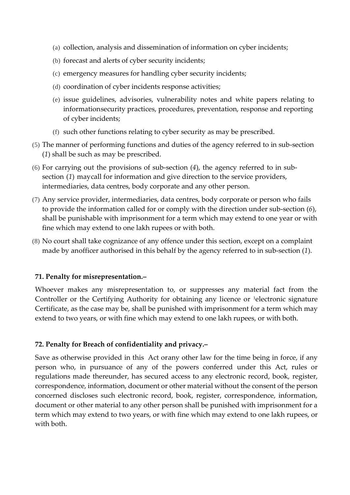- (a) collection, analysis and dissemination of information on cyber incidents;
- (b) forecast and alerts of cyber security incidents;
- (c) emergency measures for handling cyber security incidents;
- (d) coordination of cyber incidents response activities;
- (e) issue guidelines, advisories, vulnerability notes and white papers relating to informationsecurity practices, procedures, preventation, response and reporting of cyber incidents;
- (f) such other functions relating to cyber security as may be prescribed.
- (5) The manner of performing functions and duties of the agency referred to in sub-section (*1*) shall be such as may be prescribed.
- (6) For carrying out the provisions of sub-section (*4*), the agency referred to in subsection (*1*) maycall for information and give direction to the service providers, intermediaries, data centres, body corporate and any other person.
- (7) Any service provider, intermediaries, data centres, body corporate or person who fails to provide the information called for or comply with the direction under sub-section (*6*), shall be punishable with imprisonment for a term which may extend to one year or with fine which may extend to one lakh rupees or with both.
- (8) No court shall take cognizance of any offence under this section, except on a complaint made by anofficer authorised in this behalf by the agency referred to in sub-section (*1*).

#### **71. Penalty for misrepresentation.–**

Whoever makes any misrepresentation to, or suppresses any material fact from the Controller or the Certifying Authority for obtaining any licence or <sup>1</sup>electronic signature Certificate, as the case may be, shall be punished with imprisonment for a term which may extend to two years, or with fine which may extend to one lakh rupees, or with both.

### **72. Penalty for Breach of confidentiality and privacy.–**

Save as otherwise provided in this Act orany other law for the time being in force, if any person who, in pursuance of any of the powers conferred under this Act, rules or regulations made thereunder, has secured access to any electronic record, book, register, correspondence, information, document or other material without the consent of the person concerned discloses such electronic record, book, register, correspondence, information, document or other material to any other person shall be punished with imprisonment for a term which may extend to two years, or with fine which may extend to one lakh rupees, or with both.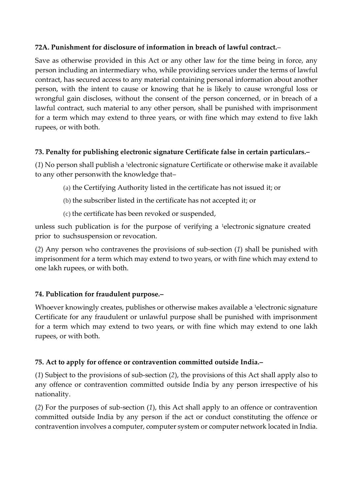### **72A. Punishment for disclosure of information in breach of lawful contract.**–

Save as otherwise provided in this Act or any other law for the time being in force, any person including an intermediary who, while providing services under the terms of lawful contract, has secured access to any material containing personal information about another person, with the intent to cause or knowing that he is likely to cause wrongful loss or wrongful gain discloses, without the consent of the person concerned, or in breach of a lawful contract, such material to any other person, shall be punished with imprisonment for a term which may extend to three years, or with fine which may extend to five lakh rupees, or with both.

### **73. Penalty for publishing electronic signature Certificate false in certain particulars.–**

(*1*) No person shall publish a 1electronic signature Certificate or otherwise make it available to any other personwith the knowledge that–

- (a) the Certifying Authority listed in the certificate has not issued it; or
- (b) the subscriber listed in the certificate has not accepted it; or
- (c) the certificate has been revoked or suspended,

unless such publication is for the purpose of verifying a <sup>1</sup>electronic signature created prior to suchsuspension or revocation.

(*2*) Any person who contravenes the provisions of sub-section (*1*) shall be punished with imprisonment for a term which may extend to two years, or with fine which may extend to one lakh rupees, or with both.

### **74. Publication for fraudulent purpose.–**

Whoever knowingly creates, publishes or otherwise makes available a <sup>1</sup>electronic signature Certificate for any fraudulent or unlawful purpose shall be punished with imprisonment for a term which may extend to two years, or with fine which may extend to one lakh rupees, or with both.

### **75. Act to apply for offence or contravention committed outside India.–**

(*1*) Subject to the provisions of sub-section (*2*), the provisions of this Act shall apply also to any offence or contravention committed outside India by any person irrespective of his nationality.

(*2*) For the purposes of sub-section (*1*), this Act shall apply to an offence or contravention committed outside India by any person if the act or conduct constituting the offence or contravention involves a computer, computer system or computer network located in India.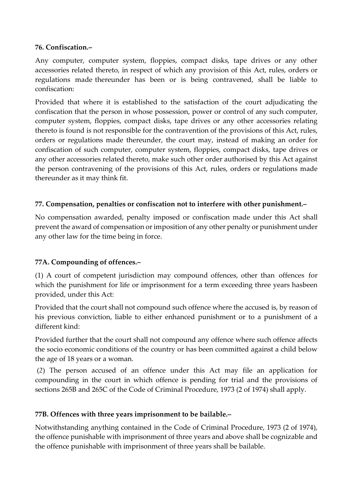### **76. Confiscation.–**

Any computer, computer system, floppies, compact disks, tape drives or any other accessories related thereto, in respect of which any provision of this Act, rules, orders or regulations made thereunder has been or is being contravened, shall be liable to confiscation:

Provided that where it is established to the satisfaction of the court adjudicating the confiscation that the person in whose possession, power or control of any such computer, computer system, floppies, compact disks, tape drives or any other accessories relating thereto is found is not responsible for the contravention of the provisions of this Act, rules, orders or regulations made thereunder, the court may, instead of making an order for confiscation of such computer, computer system, floppies, compact disks, tape drives or any other accessories related thereto, make such other order authorised by this Act against the person contravening of the provisions of this Act, rules, orders or regulations made thereunder as it may think fit.

### **77. Compensation, penalties or confiscation not to interfere with other punishment.–**

No compensation awarded, penalty imposed or confiscation made under this Act shall prevent the award of compensation or imposition of any other penalty or punishment under any other law for the time being in force.

### **77A. Compounding of offences.–**

(1) A court of competent jurisdiction may compound offences, other than offences for which the punishment for life or imprisonment for a term exceeding three years hasbeen provided, under this Act:

Provided that the court shall not compound such offence where the accused is, by reason of his previous conviction, liable to either enhanced punishment or to a punishment of a different kind:

Provided further that the court shall not compound any offence where such offence affects the socio economic conditions of the country or has been committed against a child below the age of 18 years or a woman.

(*2*) The person accused of an offence under this Act may file an application for compounding in the court in which offence is pending for trial and the provisions of sections 265B and 265C of the Code of Criminal Procedure, 1973 (2 of 1974) shall apply.

### **77B. Offences with three years imprisonment to be bailable.–**

Notwithstanding anything contained in the Code of Criminal Procedure, 1973 (2 of 1974), the offence punishable with imprisonment of three years and above shall be cognizable and the offence punishable with imprisonment of three years shall be bailable.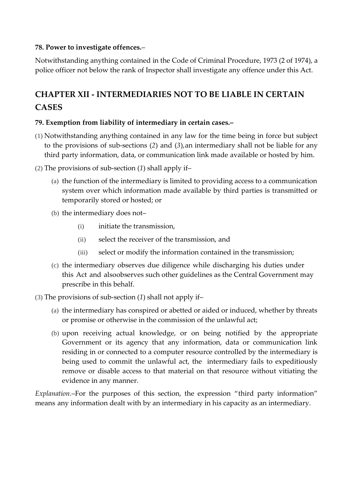### **78. Power to investigate offences.**–

Notwithstanding anything contained in the Code of Criminal Procedure, 1973 (2 of 1974), a police officer not below the rank of Inspector shall investigate any offence under this Act.

# **CHAPTER XII - INTERMEDIARIES NOT TO BE LIABLE IN CERTAIN CASES**

### **79. Exemption from liability of intermediary in certain cases.–**

- (1) Notwithstanding anything contained in any law for the time being in force but subject to the provisions of sub-sections (*2*) and (*3*),an intermediary shall not be liable for any third party information, data, or communication link made available or hosted by him.
- (2) The provisions of sub-section (*1*) shall apply if–
	- (a) the function of the intermediary is limited to providing access to a communication system over which information made available by third parties is transmitted or temporarily stored or hosted; or
	- (b) the intermediary does not–
		- (i) initiate the transmission,
		- (ii) select the receiver of the transmission, and
		- (iii) select or modify the information contained in the transmission;
	- (c) the intermediary observes due diligence while discharging his duties under this Act and alsoobserves such other guidelines as the Central Government may prescribe in this behalf.
- (3) The provisions of sub-section (*1*) shall not apply if–
	- (a) the intermediary has conspired or abetted or aided or induced, whether by threats or promise or otherwise in the commission of the unlawful act;
	- (b) upon receiving actual knowledge, or on being notified by the appropriate Government or its agency that any information, data or communication link residing in or connected to a computer resource controlled by the intermediary is being used to commit the unlawful act, the intermediary fails to expeditiously remove or disable access to that material on that resource without vitiating the evidence in any manner.

*Explanation.*–For the purposes of this section, the expression "third party information" means any information dealt with by an intermediary in his capacity as an intermediary.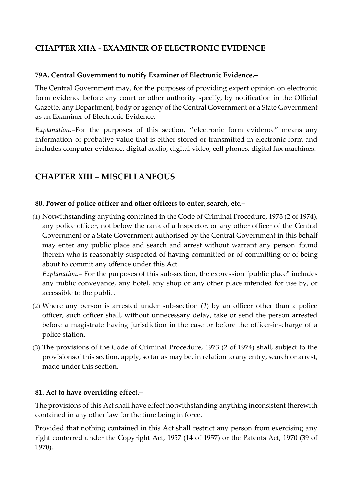# **CHAPTER XIIA - EXAMINER OF ELECTRONIC EVIDENCE**

### **79A. Central Government to notify Examiner of Electronic Evidence.–**

The Central Government may, for the purposes of providing expert opinion on electronic form evidence before any court or other authority specify, by notification in the Official Gazette, any Department, body or agency of the Central Government or a State Government as an Examiner of Electronic Evidence.

*Explanation.*–For the purposes of this section, "electronic form evidence" means any information of probative value that is either stored or transmitted in electronic form and includes computer evidence, digital audio, digital video, cell phones, digital fax machines.

# **CHAPTER XIII – MISCELLANEOUS**

### **80. Power of police officer and other officers to enter, search, etc.–**

(1) Notwithstanding anything contained in the Code of Criminal Procedure, 1973 (2 of 1974), any police officer, not below the rank of a Inspector, or any other officer of the Central Government or a State Government authorised by the Central Government in this behalf may enter any public place and search and arrest without warrant any person found therein who is reasonably suspected of having committed or of committing or of being about to commit any offence under this Act.

*Explanation.*– For the purposes of this sub-section, the expression "public place" includes any public conveyance, any hotel, any shop or any other place intended for use by, or accessible to the public.

- (2) Where any person is arrested under sub-section (*1*) by an officer other than a police officer, such officer shall, without unnecessary delay, take or send the person arrested before a magistrate having jurisdiction in the case or before the officer-in-charge of a police station.
- (3) The provisions of the Code of Criminal Procedure, 1973 (2 of 1974) shall, subject to the provisionsof this section, apply, so far as may be, in relation to any entry, search or arrest, made under this section.

### **81. Act to have overriding effect.–**

The provisions of this Act shall have effect notwithstanding anything inconsistent therewith contained in any other law for the time being in force.

Provided that nothing contained in this Act shall restrict any person from exercising any right conferred under the Copyright Act, 1957 (14 of 1957) or the Patents Act, 1970 (39 of 1970).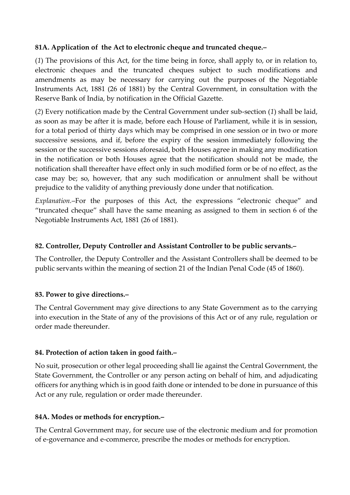### **81A. Application of the Act to electronic cheque and truncated cheque.–**

(*1*) The provisions of this Act, for the time being in force, shall apply to, or in relation to, electronic cheques and the truncated cheques subject to such modifications and amendments as may be necessary for carrying out the purposes of the Negotiable Instruments Act, 1881 (26 of 1881) by the Central Government, in consultation with the Reserve Bank of India, by notification in the Official Gazette.

(*2*) Every notification made by the Central Government under sub-section (*1*) shall be laid, as soon as may be after it is made, before each House of Parliament, while it is in session, for a total period of thirty days which may be comprised in one session or in two or more successive sessions, and if, before the expiry of the session immediately following the session or the successive sessions aforesaid, both Houses agree in making any modification in the notification or both Houses agree that the notification should not be made, the notification shall thereafter have effect only in such modified form or be of no effect, as the case may be; so, however, that any such modification or annulment shall be without prejudice to the validity of anything previously done under that notification.

*Explanation.*–For the purposes of this Act, the expressions "electronic cheque" and "truncated cheque" shall have the same meaning as assigned to them in section 6 of the Negotiable Instruments Act, 1881 (26 of 1881).

### **82. Controller, Deputy Controller and Assistant Controller to be public servants.–**

The Controller, the Deputy Controller and the Assistant Controllers shall be deemed to be public servants within the meaning of section 21 of the Indian Penal Code (45 of 1860).

### **83. Power to give directions.–**

The Central Government may give directions to any State Government as to the carrying into execution in the State of any of the provisions of this Act or of any rule, regulation or order made thereunder.

### **84. Protection of action taken in good faith.–**

No suit, prosecution or other legal proceeding shall lie against the Central Government, the State Government, the Controller or any person acting on behalf of him, and adjudicating officers for anything which is in good faith done or intended to be done in pursuance of this Act or any rule, regulation or order made thereunder.

### **84A. Modes or methods for encryption.–**

The Central Government may, for secure use of the electronic medium and for promotion of e-governance and e-commerce, prescribe the modes or methods for encryption.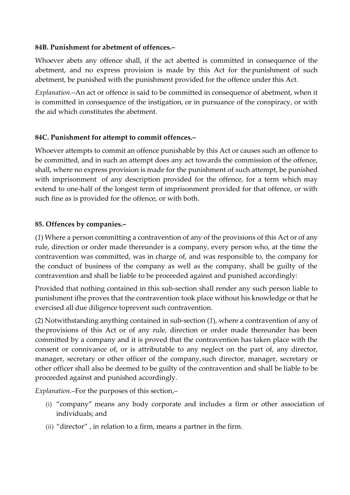### **84B. Punishment for abetment of offences.–**

Whoever abets any offence shall, if the act abetted is committed in consequence of the abetment, and no express provision is made by this Act for the punishment of such abetment, be punished with the punishment provided for the offence under this Act.

*Explanation.*–An act or offence is said to be committed in consequence of abetment, when it is committed in consequence of the instigation, or in pursuance of the conspiracy, or with the aid which constitutes the abetment.

### **84C. Punishment for attempt to commit offences.–**

Whoever attempts to commit an offence punishable by this Act or causes such an offence to be committed, and in such an attempt does any act towards the commission of the offence, shall, where no express provision is made for the punishment of such attempt, be punished with imprisonment of any description provided for the offence, for a term which may extend to one-half of the longest term of imprisonment provided for that offence, or with such fine as is provided for the offence, or with both.

### **85. Offences by companies.–**

(*1*) Where a person committing a contravention of any of the provisions of this Act or of any rule, direction or order made thereunder is a company, every person who, at the time the contravention was committed, was in charge of, and was responsible to, the company for the conduct of business of the company as well as the company, shall be guilty of the contravention and shall be liable to be proceeded against and punished accordingly:

Provided that nothing contained in this sub-section shall render any such person liable to punishment ifhe proves that the contravention took place without his knowledge or that he exercised all due diligence toprevent such contravention.

(2) Notwithstanding anything contained in sub-section (*1*), where a contravention of any of theprovisions of this Act or of any rule, direction or order made thereunder has been committed by a company and it is proved that the contravention has taken place with the consent or connivance of, or is attributable to any neglect on the part of, any director, manager, secretary or other officer of the company,such director, manager, secretary or other officer shall also be deemed to be guilty of the contravention and shall be liable to be proceeded against and punished accordingly.

*Explanation.*–For the purposes of this section,–

- (i) "company" means any body corporate and includes a firm or other association of individuals; and
- (ii) "director" , in relation to a firm, means a partner in the firm.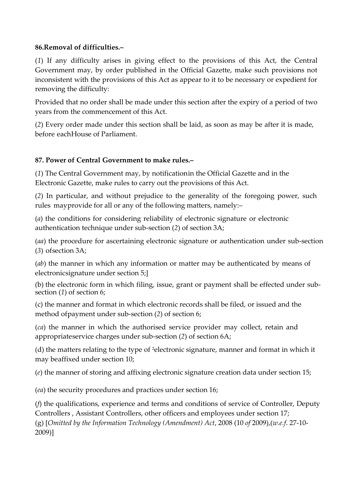### **86.Removal of difficulties.–**

(*1*) If any difficulty arises in giving effect to the provisions of this Act, the Central Government may, by order published in the Official Gazette, make such provisions not inconsistent with the provisions of this Act as appear to it to be necessary or expedient for removing the difficulty:

Provided that no order shall be made under this section after the expiry of a period of two years from the commencement of this Act.

(*2*) Every order made under this section shall be laid, as soon as may be after it is made, before eachHouse of Parliament.

### **87. Power of Central Government to make rules.–**

(*1*) The Central Government may, by notificationin the Official Gazette and in the Electronic Gazette, make rules to carry out the provisions of this Act.

(*2*) In particular, and without prejudice to the generality of the foregoing power, such rules mayprovide for all or any of the following matters, namely:–

(*a*) the conditions for considering reliability of electronic signature or electronic authentication technique under sub-section (*2*) of section 3A;

(*aa*) the procedure for ascertaining electronic signature or authentication under sub-section (*3*) ofsection 3A;

(*ab*) the manner in which any information or matter may be authenticated by means of electronicsignature under section 5;]

(b) the electronic form in which filing, issue, grant or payment shall be effected under subsection (*1*) of section 6;

(c) the manner and format in which electronic records shall be filed, or issued and the method ofpayment under sub-section (*2*) of section 6;

(*ca*) the manner in which the authorised service provider may collect, retain and appropriateservice charges under sub-section (*2*) of section 6A;

(d) the matters relating to the type of <sup>2</sup>electronic signature, manner and format in which it may beaffixed under section 10;

(*e*) the manner of storing and affixing electronic signature creation data under section 15;

(*ea*) the security procedures and practices under section 16;

(*f*) the qualifications, experience and terms and conditions of service of Controller, Deputy Controllers , Assistant Controllers, other officers and employees under section 17; (g) [*Omitted by the Information Technology (Amendment) Act*, 2008 (10 *of* 2009),(*w.e.f*. 27-10- 2009)]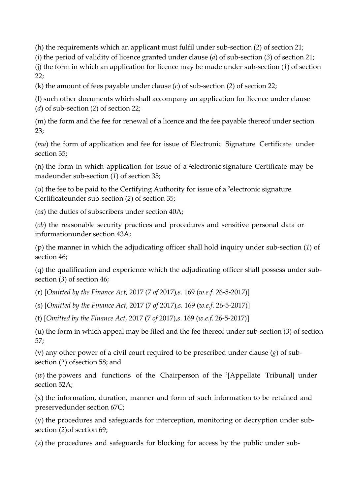(h) the requirements which an applicant must fulfil under sub-section (*2*) of section 21;

(i) the period of validity of licence granted under clause (*a*) of sub-section (*3*) of section 21;

(j) the form in which an application for licence may be made under sub-section (*1*) of section 22;

(k) the amount of fees payable under clause (*c*) of sub-section (*2*) of section 22;

(l) such other documents which shall accompany an application for licence under clause (*d*) of sub-section (*2*) of section 22;

(m) the form and the fee for renewal of a licence and the fee payable thereof under section 23;

(*ma*) the form of application and fee for issue of Electronic Signature Certificate under section 35;

(n) the form in which application for issue of a <sup>2</sup>electronic signature Certificate may be madeunder sub-section (*1*) of section 35;

(o) the fee to be paid to the Certifying Authority for issue of a <sup>2</sup>electronic signature Certificateunder sub-section (*2*) of section 35;

(*oa*) the duties of subscribers under section 40A;

(*ob*) the reasonable security practices and procedures and sensitive personal data or informationunder section 43A;

(p) the manner in which the adjudicating officer shall hold inquiry under sub-section (*1*) of section 46;

(q) the qualification and experience which the adjudicating officer shall possess under subsection (*3*) of section 46;

(r) [*Omitted by the Finance Act*, 2017 (7 *of* 2017),*s*. 169 (*w.e.f*. 26-5-2017)]

(s) [*Omitted by the Finance Act*, 2017 (7 *of* 2017),*s*. 169 (*w.e.f*. 26-5-2017)]

(t) [*Omitted by the Finance Act*, 2017 (7 *of* 2017),*s*. 169 (*w.e.f*. 26-5-2017)]

(u) the form in which appeal may be filed and the fee thereof under sub-section (*3*) of section 57;

(v) any other power of a civil court required to be prescribed under clause (*g*) of subsection (*2*) ofsection 58; and

(*w*) the powers and functions of the Chairperson of the <sup>2</sup> [Appellate Tribunal] under section 52A;

(x) the information, duration, manner and form of such information to be retained and preservedunder section 67C;

(y) the procedures and safeguards for interception, monitoring or decryption under subsection (*2*)of section 69;

(z) the procedures and safeguards for blocking for access by the public under sub-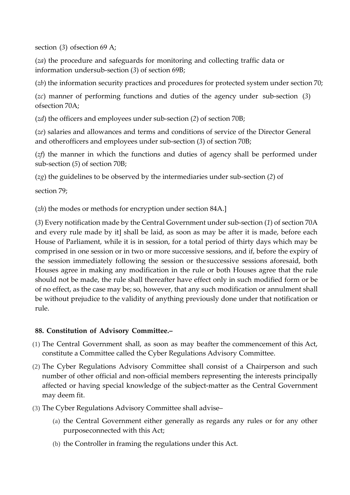section (*3*) ofsection 69 A;

(*za*) the procedure and safeguards for monitoring and collecting traffic data or information undersub-section (*3*) of section 69B;

(*zb*) the information security practices and procedures for protected system under section 70;

(*zc*) manner of performing functions and duties of the agency under sub-section (*3*) ofsection 70A;

(*zd*) the officers and employees under sub-section (*2*) of section 70B;

(*ze*) salaries and allowances and terms and conditions of service of the Director General and otherofficers and employees under sub-section (*3*) of section 70B;

(*zf*) the manner in which the functions and duties of agency shall be performed under sub-section (*5*) of section 70B;

(*zg*) the guidelines to be observed by the intermediaries under sub-section (*2*) of

section 79;

(*zh*) the modes or methods for encryption under section 84A.]

(*3*) Every notification made by the Central Government under sub-section (*1*) of section 70A and every rule made by it] shall be laid, as soon as may be after it is made, before each House of Parliament, while it is in session, for a total period of thirty days which may be comprised in one session or in two or more successive sessions, and if, before the expiry of the session immediately following the session or thesuccessive sessions aforesaid, both Houses agree in making any modification in the rule or both Houses agree that the rule should not be made, the rule shall thereafter have effect only in such modified form or be of no effect, as the case may be; so, however, that any such modification or annulment shall be without prejudice to the validity of anything previously done under that notification or rule.

### **88. Constitution of Advisory Committee.–**

- (1) The Central Government shall, as soon as may beafter the commencement of this Act, constitute a Committee called the Cyber Regulations Advisory Committee.
- (2) The Cyber Regulations Advisory Committee shall consist of a Chairperson and such number of other official and non-official members representing the interests principally affected or having special knowledge of the subject-matter as the Central Government may deem fit.
- (3) The Cyber Regulations Advisory Committee shall advise–
	- (a) the Central Government either generally as regards any rules or for any other purposeconnected with this Act;
	- (b) the Controller in framing the regulations under this Act.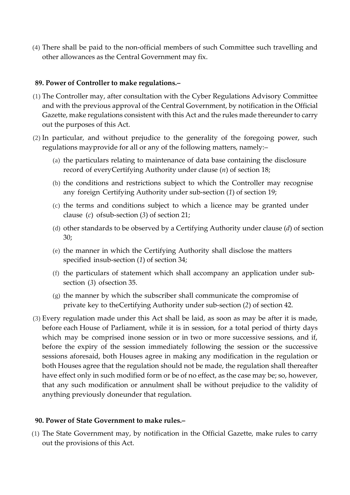(4) There shall be paid to the non-official members of such Committee such travelling and other allowances as the Central Government may fix.

#### **89. Power of Controller to make regulations.–**

- (1) The Controller may, after consultation with the Cyber Regulations Advisory Committee and with the previous approval of the Central Government, by notification in the Official Gazette, make regulations consistent with this Act and the rules made thereunder to carry out the purposes of this Act.
- (2) In particular, and without prejudice to the generality of the foregoing power, such regulations mayprovide for all or any of the following matters, namely:–
	- (a) the particulars relating to maintenance of data base containing the disclosure record of everyCertifying Authority under clause (*n*) of section 18;
	- (b) the conditions and restrictions subject to which the Controller may recognise any foreign Certifying Authority under sub-section (*1*) of section 19;
	- (c) the terms and conditions subject to which a licence may be granted under clause (*c*) ofsub-section (*3*) of section 21;
	- (d) other standards to be observed by a Certifying Authority under clause (*d*) of section 30;
	- (e) the manner in which the Certifying Authority shall disclose the matters specified insub-section (*1*) of section 34;
	- (f) the particulars of statement which shall accompany an application under subsection (*3*) ofsection 35.
	- (g) the manner by which the subscriber shall communicate the compromise of private key to theCertifying Authority under sub-section (*2*) of section 42.
- (3) Every regulation made under this Act shall be laid, as soon as may be after it is made, before each House of Parliament, while it is in session, for a total period of thirty days which may be comprised inone session or in two or more successive sessions, and if, before the expiry of the session immediately following the session or the successive sessions aforesaid, both Houses agree in making any modification in the regulation or both Houses agree that the regulation should not be made, the regulation shall thereafter have effect only in such modified form or be of no effect, as the case may be; so, however, that any such modification or annulment shall be without prejudice to the validity of anything previously doneunder that regulation.

#### **90. Power of State Government to make rules.–**

(1) The State Government may, by notification in the Official Gazette, make rules to carry out the provisions of this Act.